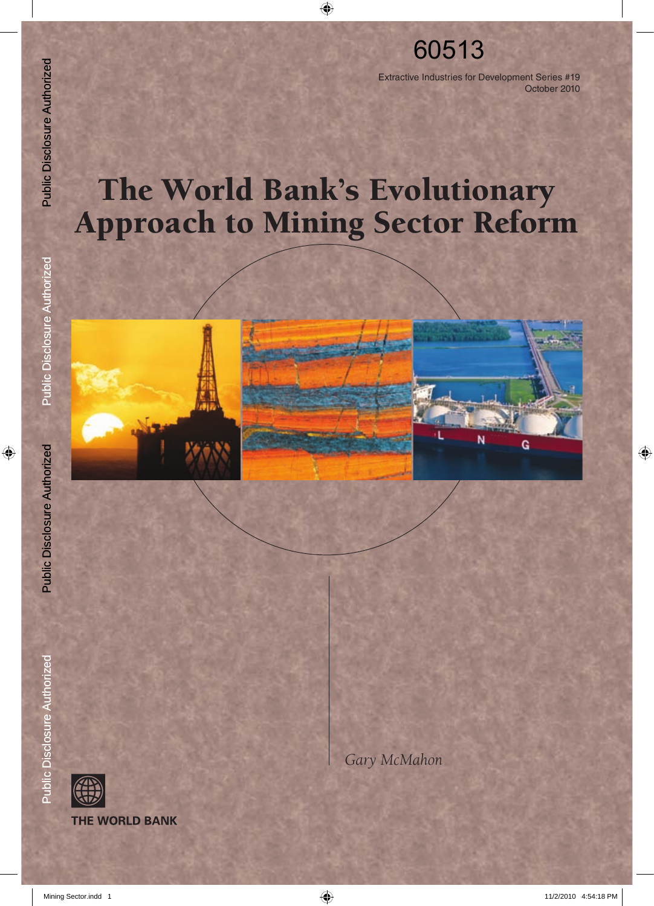## 60513

Extractive Industries for Development Series #19 October 2010

# The World Bank's Evolutionary Approach to Mining Sector Reform Mining Sector.individuelly<br>
Mining Sector.indd 1 12<br>
Mining Sector.<br>
Mining Authorized Public Disclosure Authorized Public Disclosure Authorized Public Disclosure Authorized Public Disclosure Authorized Public Disclosure A



*Gary McMahon*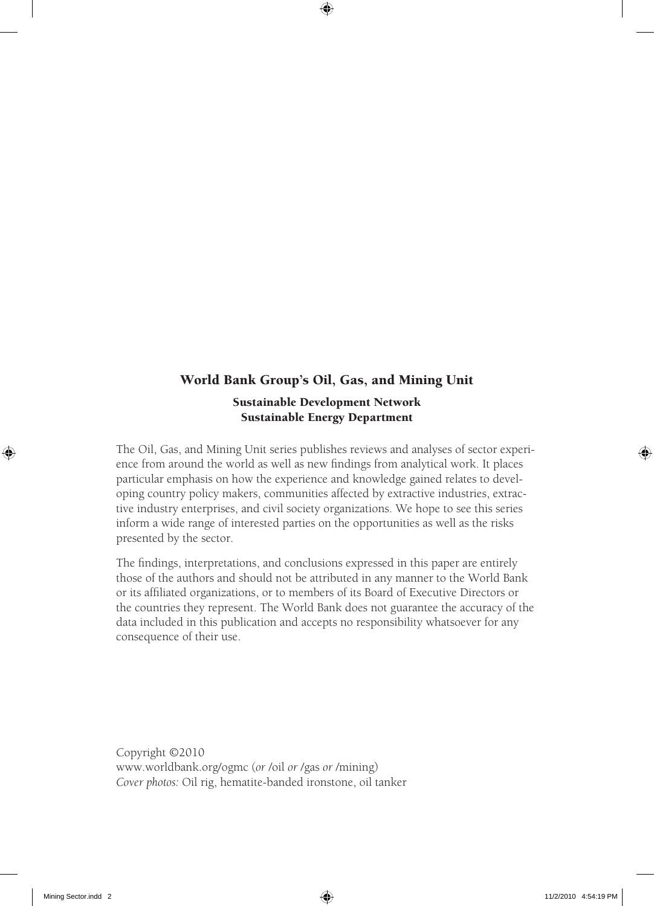#### World Bank Group's Oil, Gas, and Mining Unit

#### Sustainable Development Network Sustainable Energy Department

The Oil, Gas, and Mining Unit series publishes reviews and analyses of sector experience from around the world as well as new findings from analytical work. It places particular emphasis on how the experience and knowledge gained relates to developing country policy makers, communities affected by extractive industries, extractive industry enterprises, and civil society organizations. We hope to see this series inform a wide range of interested parties on the opportunities as well as the risks presented by the sector.

The findings, interpretations, and conclusions expressed in this paper are entirely those of the authors and should not be attributed in any manner to the World Bank or its affiliated organizations, or to members of its Board of Executive Directors or the countries they represent. The World Bank does not guarantee the accuracy of the data included in this publication and accepts no responsibility whatsoever for any consequence of their use.

Copyright ©2010 www.worldbank.org/ogmc (*or* /oil *or* /gas *or* /mining) *Cover photos:* Oil rig, hematite-banded ironstone, oil tanker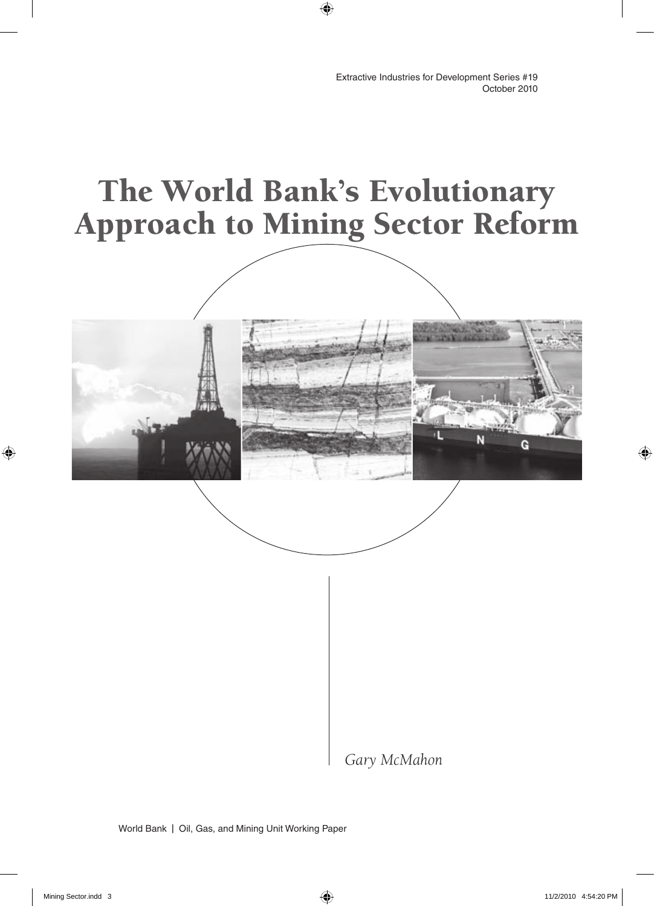Ĝ

# The World Bank's Evolutionary Approach to Mining Sector Reform

*Gary McMahon*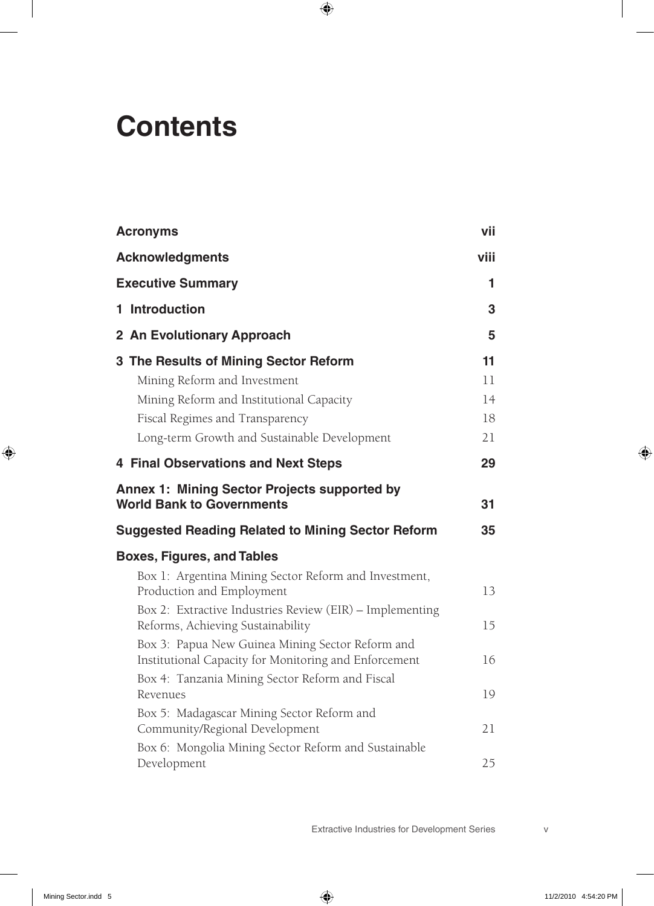# **Contents**

| <b>Acronyms</b>                                             | vii  |
|-------------------------------------------------------------|------|
| <b>Acknowledgments</b>                                      | viii |
| <b>Executive Summary</b>                                    | 1    |
| 1 Introduction                                              | 3    |
| 2 An Evolutionary Approach                                  | 5    |
| 3 The Results of Mining Sector Reform                       | 11   |
| Mining Reform and Investment                                | 11   |
| Mining Reform and Institutional Capacity                    | 14   |
| Fiscal Regimes and Transparency                             | 18   |
| Long-term Growth and Sustainable Development                | 21   |
| <b>4 Final Observations and Next Steps</b>                  | 29   |
| <b>Annex 1: Mining Sector Projects supported by</b>         |      |
| <b>World Bank to Governments</b>                            | 31   |
| <b>Suggested Reading Related to Mining Sector Reform</b>    | 35   |
| <b>Boxes, Figures, and Tables</b>                           |      |
| Box 1: Argentina Mining Sector Reform and Investment,       |      |
| Production and Employment                                   | 13   |
| Box 2: Extractive Industries Review (EIR) - Implementing    |      |
| Reforms, Achieving Sustainability                           | 15   |
| Box 3: Papua New Guinea Mining Sector Reform and            |      |
| Institutional Capacity for Monitoring and Enforcement       | 16   |
| Box 4: Tanzania Mining Sector Reform and Fiscal<br>Revenues | 19   |
| Box 5: Madagascar Mining Sector Reform and                  |      |
| Community/Regional Development                              | 21   |
| Box 6: Mongolia Mining Sector Reform and Sustainable        |      |
| Development                                                 | 25   |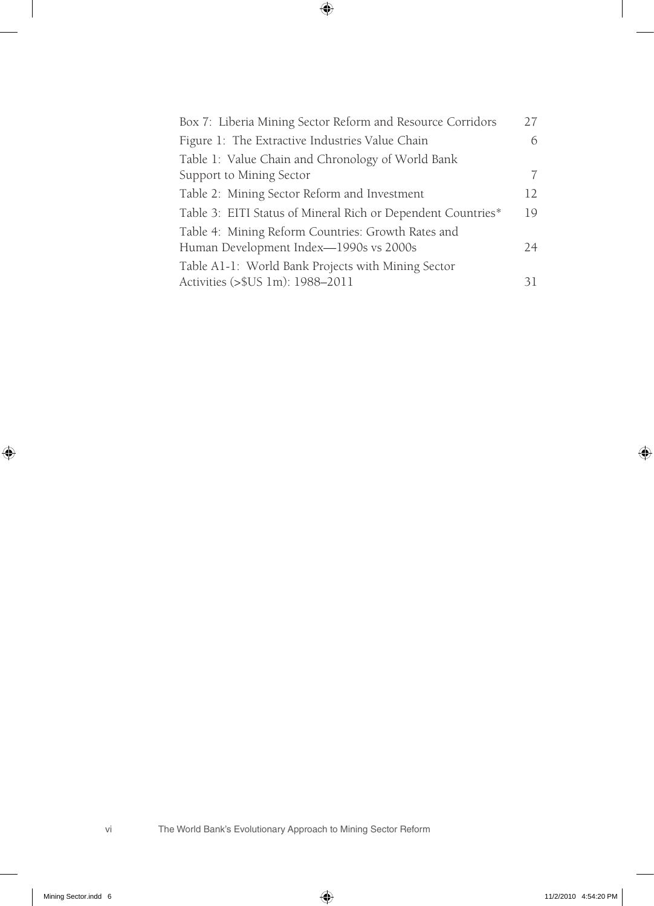| Box 7: Liberia Mining Sector Reform and Resource Corridors   | 27              |
|--------------------------------------------------------------|-----------------|
| Figure 1: The Extractive Industries Value Chain              | 6               |
| Table 1: Value Chain and Chronology of World Bank            |                 |
| Support to Mining Sector                                     | 7               |
| Table 2: Mining Sector Reform and Investment                 | 12 <sub>1</sub> |
| Table 3: EITI Status of Mineral Rich or Dependent Countries* | 19              |
| Table 4: Mining Reform Countries: Growth Rates and           |                 |
| Human Development Index-1990s vs 2000s                       | 24              |
| Table A1-1: World Bank Projects with Mining Sector           |                 |
| Activities (>\$US 1m): 1988-2011                             | 31              |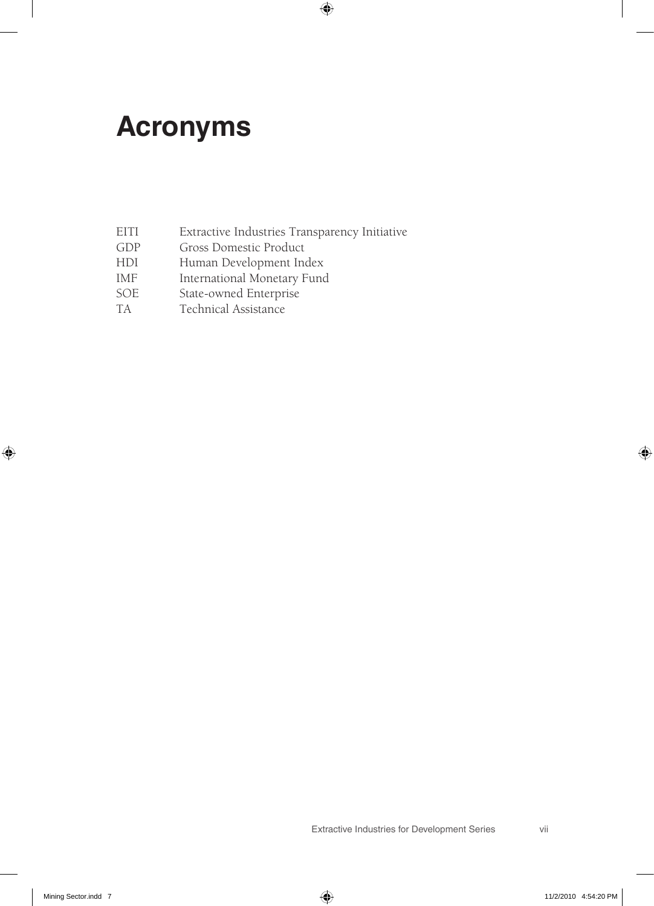# **Acronyms**

- EITI Extractive Industries Transparency Initiative
- GDP Gross Domestic Product
- HDI Human Development Index
- IMF International Monetary Fund
- SOE State-owned Enterprise
- TA Technical Assistance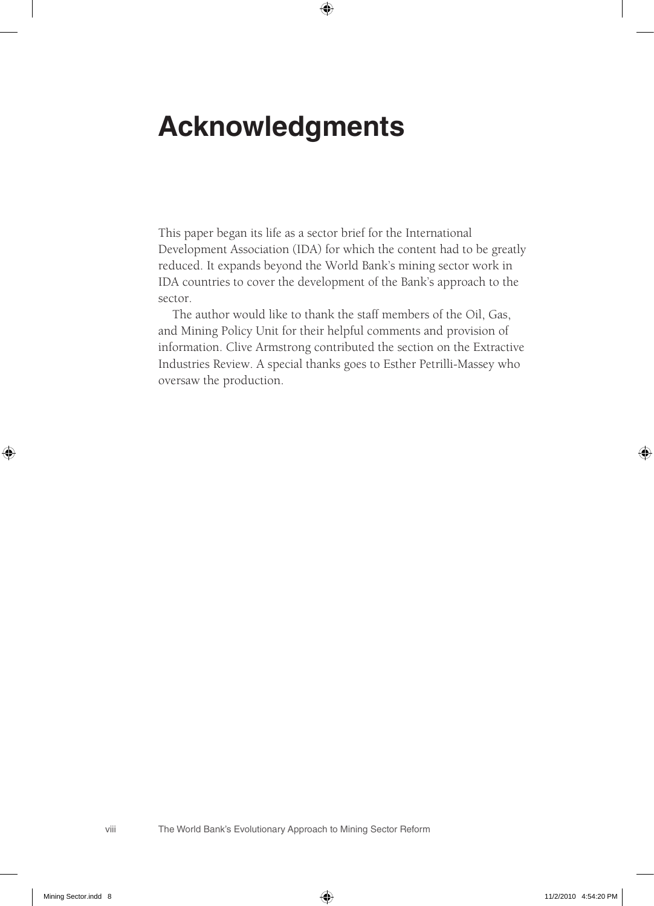# **Acknowledgments**

This paper began its life as a sector brief for the International Development Association (IDA) for which the content had to be greatly reduced. It expands beyond the World Bank's mining sector work in IDA countries to cover the development of the Bank's approach to the sector.

The author would like to thank the staff members of the Oil, Gas, and Mining Policy Unit for their helpful comments and provision of information. Clive Armstrong contributed the section on the Extractive Industries Review. A special thanks goes to Esther Petrilli-Massey who oversaw the production.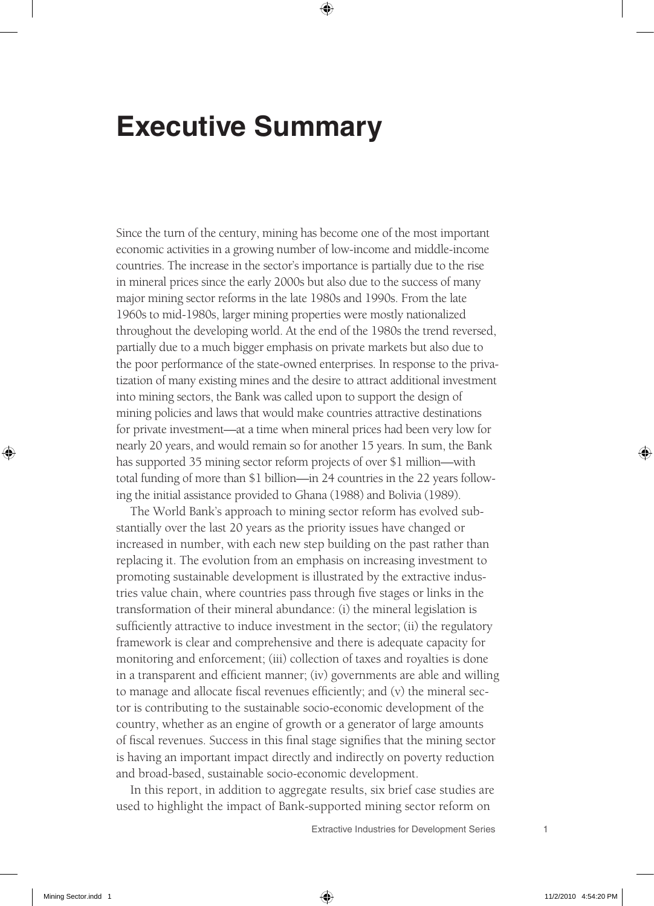## **Executive Summary**

Since the turn of the century, mining has become one of the most important economic activities in a growing number of low-income and middle-income countries. The increase in the sector's importance is partially due to the rise in mineral prices since the early 2000s but also due to the success of many major mining sector reforms in the late 1980s and 1990s. From the late 1960s to mid-1980s, larger mining properties were mostly nationalized throughout the developing world. At the end of the 1980s the trend reversed, partially due to a much bigger emphasis on private markets but also due to the poor performance of the state-owned enterprises. In response to the privatization of many existing mines and the desire to attract additional investment into mining sectors, the Bank was called upon to support the design of mining policies and laws that would make countries attractive destinations for private investment—at a time when mineral prices had been very low for nearly 20 years, and would remain so for another 15 years. In sum, the Bank has supported 35 mining sector reform projects of over \$1 million—with total funding of more than \$1 billion—in 24 countries in the 22 years following the initial assistance provided to Ghana (1988) and Bolivia (1989).

The World Bank's approach to mining sector reform has evolved substantially over the last 20 years as the priority issues have changed or increased in number, with each new step building on the past rather than replacing it. The evolution from an emphasis on increasing investment to promoting sustainable development is illustrated by the extractive industries value chain, where countries pass through five stages or links in the transformation of their mineral abundance: (i) the mineral legislation is sufficiently attractive to induce investment in the sector; (ii) the regulatory framework is clear and comprehensive and there is adequate capacity for monitoring and enforcement; (iii) collection of taxes and royalties is done in a transparent and efficient manner; (iv) governments are able and willing to manage and allocate fiscal revenues efficiently; and (v) the mineral sector is contributing to the sustainable socio-economic development of the country, whether as an engine of growth or a generator of large amounts of fiscal revenues. Success in this final stage signifies that the mining sector is having an important impact directly and indirectly on poverty reduction and broad-based, sustainable socio-economic development.

In this report, in addition to aggregate results, six brief case studies are used to highlight the impact of Bank-supported mining sector reform on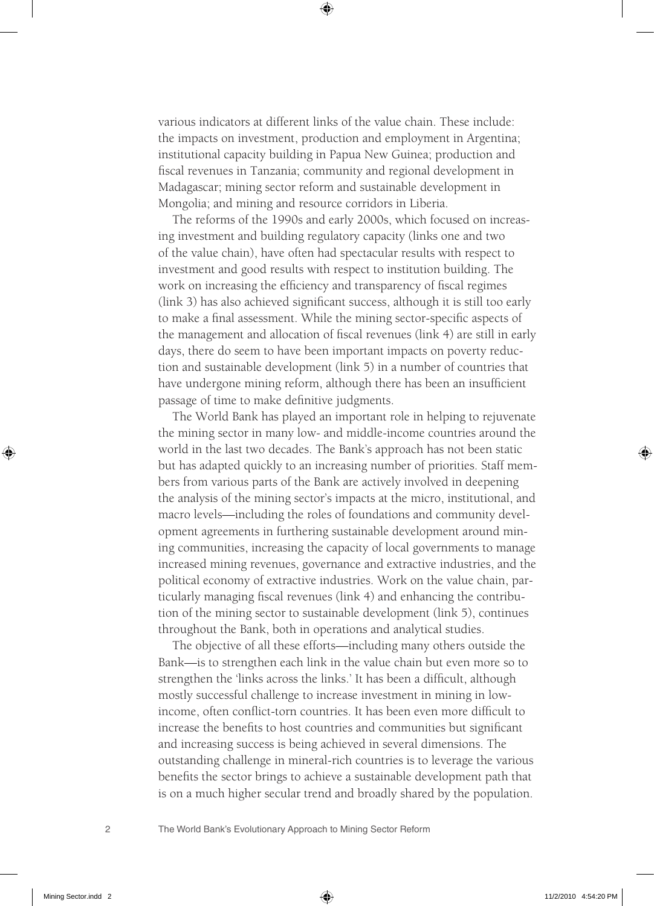various indicators at different links of the value chain. These include: the impacts on investment, production and employment in Argentina; institutional capacity building in Papua New Guinea; production and fiscal revenues in Tanzania; community and regional development in Madagascar; mining sector reform and sustainable development in Mongolia; and mining and resource corridors in Liberia.

The reforms of the 1990s and early 2000s, which focused on increasing investment and building regulatory capacity (links one and two of the value chain), have often had spectacular results with respect to investment and good results with respect to institution building. The work on increasing the efficiency and transparency of fiscal regimes (link 3) has also achieved significant success, although it is still too early to make a final assessment. While the mining sector-specific aspects of the management and allocation of fiscal revenues (link 4) are still in early days, there do seem to have been important impacts on poverty reduction and sustainable development (link 5) in a number of countries that have undergone mining reform, although there has been an insufficient passage of time to make definitive judgments.

The World Bank has played an important role in helping to rejuvenate the mining sector in many low- and middle-income countries around the world in the last two decades. The Bank's approach has not been static but has adapted quickly to an increasing number of priorities. Staff members from various parts of the Bank are actively involved in deepening the analysis of the mining sector's impacts at the micro, institutional, and macro levels—including the roles of foundations and community development agreements in furthering sustainable development around mining communities, increasing the capacity of local governments to manage increased mining revenues, governance and extractive industries, and the political economy of extractive industries. Work on the value chain, particularly managing fiscal revenues (link 4) and enhancing the contribution of the mining sector to sustainable development (link 5), continues throughout the Bank, both in operations and analytical studies.

The objective of all these efforts—including many others outside the Bank—is to strengthen each link in the value chain but even more so to strengthen the 'links across the links.' It has been a difficult, although mostly successful challenge to increase investment in mining in lowincome, often conflict-torn countries. It has been even more difficult to increase the benefits to host countries and communities but significant and increasing success is being achieved in several dimensions. The outstanding challenge in mineral-rich countries is to leverage the various benefits the sector brings to achieve a sustainable development path that is on a much higher secular trend and broadly shared by the population.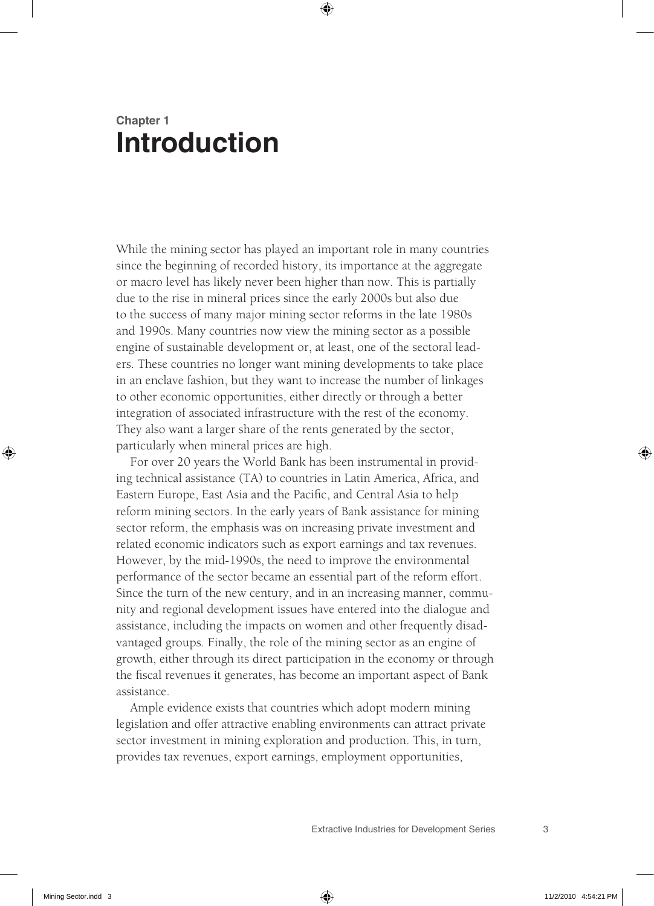## **Chapter 1 Introduction**

While the mining sector has played an important role in many countries since the beginning of recorded history, its importance at the aggregate or macro level has likely never been higher than now. This is partially due to the rise in mineral prices since the early 2000s but also due to the success of many major mining sector reforms in the late 1980s and 1990s. Many countries now view the mining sector as a possible engine of sustainable development or, at least, one of the sectoral leaders. These countries no longer want mining developments to take place in an enclave fashion, but they want to increase the number of linkages to other economic opportunities, either directly or through a better integration of associated infrastructure with the rest of the economy. They also want a larger share of the rents generated by the sector, particularly when mineral prices are high.

For over 20 years the World Bank has been instrumental in providing technical assistance (TA) to countries in Latin America, Africa, and Eastern Europe, East Asia and the Pacific, and Central Asia to help reform mining sectors. In the early years of Bank assistance for mining sector reform, the emphasis was on increasing private investment and related economic indicators such as export earnings and tax revenues. However, by the mid-1990s, the need to improve the environmental performance of the sector became an essential part of the reform effort. Since the turn of the new century, and in an increasing manner, community and regional development issues have entered into the dialogue and assistance, including the impacts on women and other frequently disadvantaged groups. Finally, the role of the mining sector as an engine of growth, either through its direct participation in the economy or through the fiscal revenues it generates, has become an important aspect of Bank assistance.

Ample evidence exists that countries which adopt modern mining legislation and offer attractive enabling environments can attract private sector investment in mining exploration and production. This, in turn, provides tax revenues, export earnings, employment opportunities,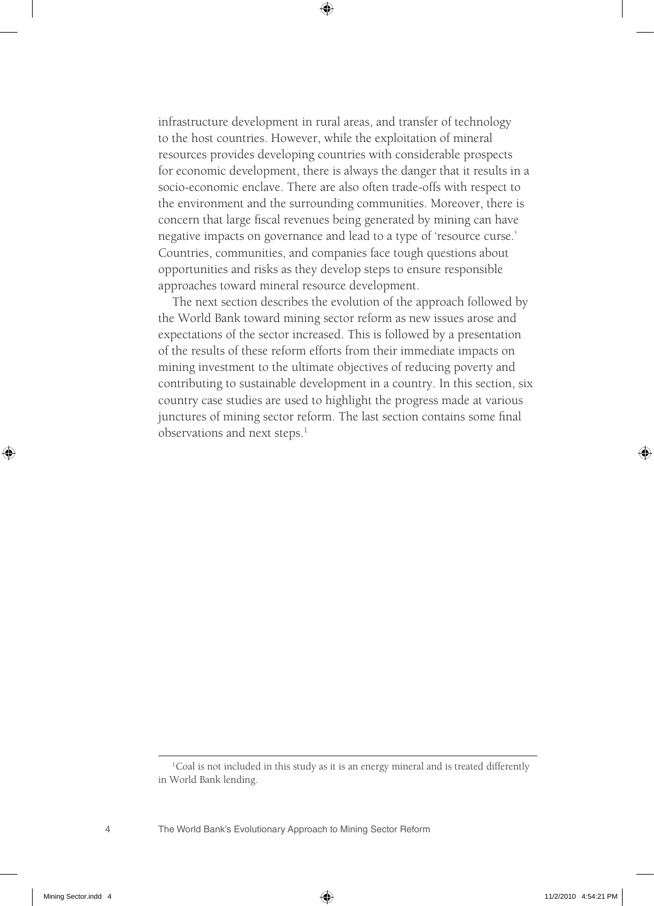infrastructure development in rural areas, and transfer of technology to the host countries. However, while the exploitation of mineral resources provides developing countries with considerable prospects for economic development, there is always the danger that it results in a socio- economic enclave. There are also often trade-offs with respect to the environment and the surrounding communities. Moreover, there is concern that large fiscal revenues being generated by mining can have negative impacts on governance and lead to a type of 'resource curse.' Countries, communities, and companies face tough questions about opportunities and risks as they develop steps to ensure responsible approaches toward mineral resource development.

The next section describes the evolution of the approach followed by the World Bank toward mining sector reform as new issues arose and expectations of the sector increased. This is followed by a presentation of the results of these reform efforts from their immediate impacts on mining investment to the ultimate objectives of reducing poverty and contributing to sustainable development in a country. In this section, six country case studies are used to highlight the progress made at various junctures of mining sector reform. The last section contains some final observations and next steps.<sup>1</sup>

<sup>&</sup>lt;sup>1</sup>Coal is not included in this study as it is an energy mineral and is treated differently in World Bank lending.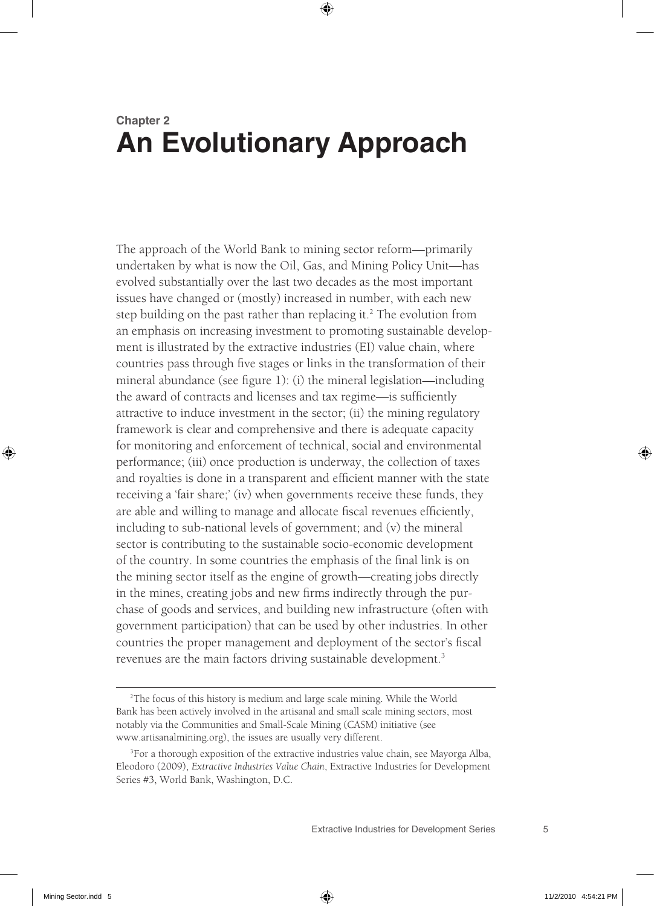## **Chapter 2 An Evolutionary Approach**

The approach of the World Bank to mining sector reform—primarily undertaken by what is now the Oil, Gas, and Mining Policy Unit—has evolved substantially over the last two decades as the most important issues have changed or (mostly) increased in number, with each new step building on the past rather than replacing it.<sup>2</sup> The evolution from an emphasis on increasing investment to promoting sustainable development is illustrated by the extractive industries (EI) value chain, where countries pass through five stages or links in the transformation of their mineral abundance (see figure 1): (i) the mineral legislation—including the award of contracts and licenses and tax regime—is sufficiently attractive to induce investment in the sector; (ii) the mining regulatory framework is clear and comprehensive and there is adequate capacity for monitoring and enforcement of technical, social and environmental performance; (iii) once production is underway, the collection of taxes and royalties is done in a transparent and efficient manner with the state receiving a 'fair share;' (iv) when governments receive these funds, they are able and willing to manage and allocate fiscal revenues efficiently, including to sub-national levels of government; and (v) the mineral sector is contributing to the sustainable socio-economic development of the country. In some countries the emphasis of the final link is on the mining sector itself as the engine of growth—creating jobs directly in the mines, creating jobs and new firms indirectly through the purchase of goods and services, and building new infrastructure (often with government participation) that can be used by other industries. In other countries the proper management and deployment of the sector's fiscal revenues are the main factors driving sustainable development.<sup>3</sup>

<sup>2</sup> The focus of this history is medium and large scale mining. While the World Bank has been actively involved in the artisanal and small scale mining sectors, most notably via the Communities and Small-Scale Mining (CASM) initiative (see www.artisanalmining.org), the issues are usually very different.

<sup>&</sup>lt;sup>3</sup>For a thorough exposition of the extractive industries value chain, see Mayorga Alba, Eleodoro (2009), *Extractive Industries Value Chain*, Extractive Industries for Development Series #3, World Bank, Washington, D.C.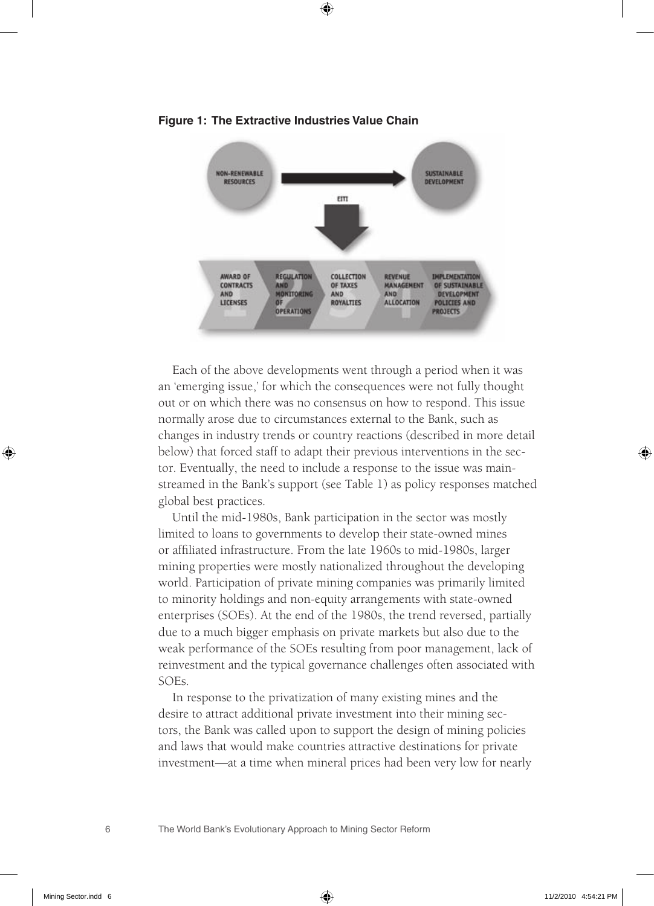

**Figure 1: The Extractive Industries Value Chain**

Each of the above developments went through a period when it was an 'emerging issue,' for which the consequences were not fully thought out or on which there was no consensus on how to respond. This issue normally arose due to circumstances external to the Bank, such as changes in industry trends or country reactions (described in more detail below) that forced staff to adapt their previous interventions in the sector. Eventually, the need to include a response to the issue was mainstreamed in the Bank's support (see Table 1) as policy responses matched global best practices.

Until the mid-1980s, Bank participation in the sector was mostly limited to loans to governments to develop their state-owned mines or affiliated infrastructure. From the late 1960s to mid-1980s, larger mining properties were mostly nationalized throughout the developing world. Participation of private mining companies was primarily limited to minority holdings and non-equity arrangements with state-owned enterprises (SOEs). At the end of the 1980s, the trend reversed, partially due to a much bigger emphasis on private markets but also due to the weak performance of the SOEs resulting from poor management, lack of reinvestment and the typical governance challenges often associated with SOEs.

In response to the privatization of many existing mines and the desire to attract additional private investment into their mining sectors, the Bank was called upon to support the design of mining policies and laws that would make countries attractive destinations for private investment—at a time when mineral prices had been very low for nearly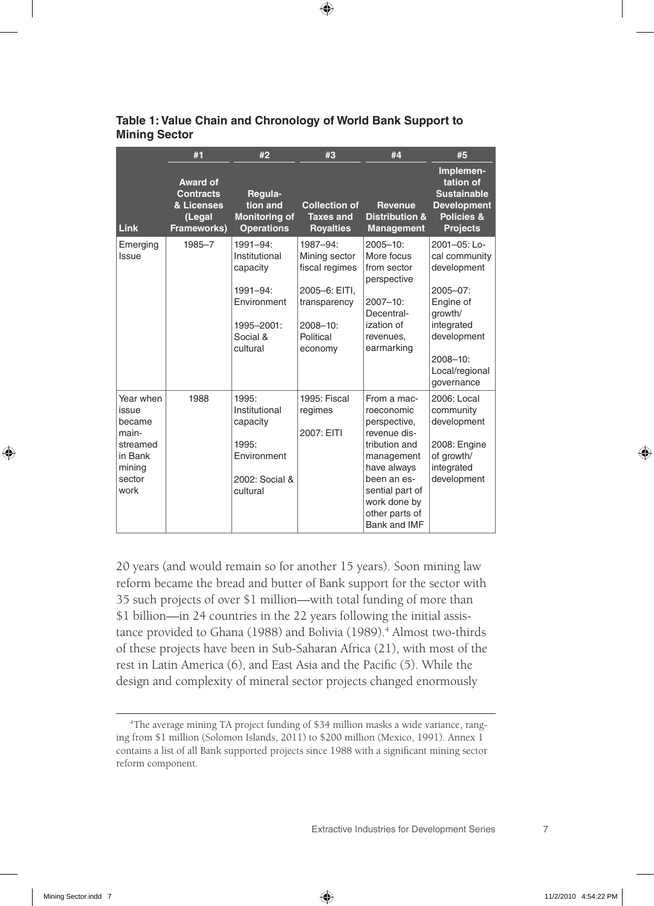|                                                                                          | #1                                                                  | #2                                                                                                          | #3                                                                                                                  | #4                                                                                                                                                                                          | #5                                                                                                                                                             |
|------------------------------------------------------------------------------------------|---------------------------------------------------------------------|-------------------------------------------------------------------------------------------------------------|---------------------------------------------------------------------------------------------------------------------|---------------------------------------------------------------------------------------------------------------------------------------------------------------------------------------------|----------------------------------------------------------------------------------------------------------------------------------------------------------------|
| Link                                                                                     | Award of<br><b>Contracts</b><br>& Licenses<br>(Legal<br>Frameworks) | Regula-<br>tion and<br><b>Monitoring of</b><br><b>Operations</b>                                            | <b>Collection of</b><br><b>Taxes and</b><br><b>Royalties</b>                                                        | <b>Revenue</b><br><b>Distribution &amp;</b><br><b>Management</b>                                                                                                                            | Implemen-<br>tation of<br><b>Sustainable</b><br><b>Development</b><br>Policies &<br><b>Projects</b>                                                            |
| Emerging<br>Issue                                                                        | 1985-7                                                              | 1991-94:<br>Institutional<br>capacity<br>$1991 - 94$ :<br>Environment<br>1995-2001:<br>Social &<br>cultural | 1987-94:<br>Mining sector<br>fiscal regimes<br>2005-6: EITI,<br>transparency<br>$2008 - 10$<br>Political<br>economy | $2005 - 10$<br>More focus<br>from sector<br>perspective<br>$2007 - 10$ :<br>Decentral-<br>ization of<br>revenues.<br>earmarking                                                             | 2001-05: Lo-<br>cal community<br>development<br>$2005 - 07$ :<br>Engine of<br>growth/<br>integrated<br>development<br>2008-10:<br>Local/regional<br>governance |
| Year when<br>issue<br>became<br>main-<br>streamed<br>in Bank<br>mining<br>sector<br>work | 1988                                                                | 1995:<br>Institutional<br>capacity<br>1995:<br>Environment<br>2002: Social &<br>cultural                    | 1995: Fiscal<br>regimes<br>2007: EITI                                                                               | From a mac-<br>roeconomic<br>perspective,<br>revenue dis-<br>tribution and<br>management<br>have always<br>been an es-<br>sential part of<br>work done by<br>other parts of<br>Bank and IMF | 2006: Local<br>community<br>development<br>2008: Engine<br>of growth/<br>integrated<br>development                                                             |

#### **Table 1: Value Chain and Chronology of World Bank support to Mining Sector**

20 years (and would remain so for another 15 years). Soon mining law reform became the bread and butter of Bank support for the sector with 35 such projects of over \$1 million—with total funding of more than \$1 billion—in 24 countries in the 22 years following the initial assistance provided to Ghana (1988) and Bolivia (1989).<sup>4</sup> Almost two-thirds of these projects have been in Sub-Saharan Africa (21), with most of the rest in Latin America (6), and East Asia and the Pacific (5). While the design and complexity of mineral sector projects changed enormously

<sup>4</sup> The average mining TA project funding of \$34 million masks a wide variance, ranging from \$1 million (Solomon Islands, 2011) to \$200 million (Mexico, 1991). Annex 1 contains a list of all Bank supported projects since 1988 with a significant mining sector reform component.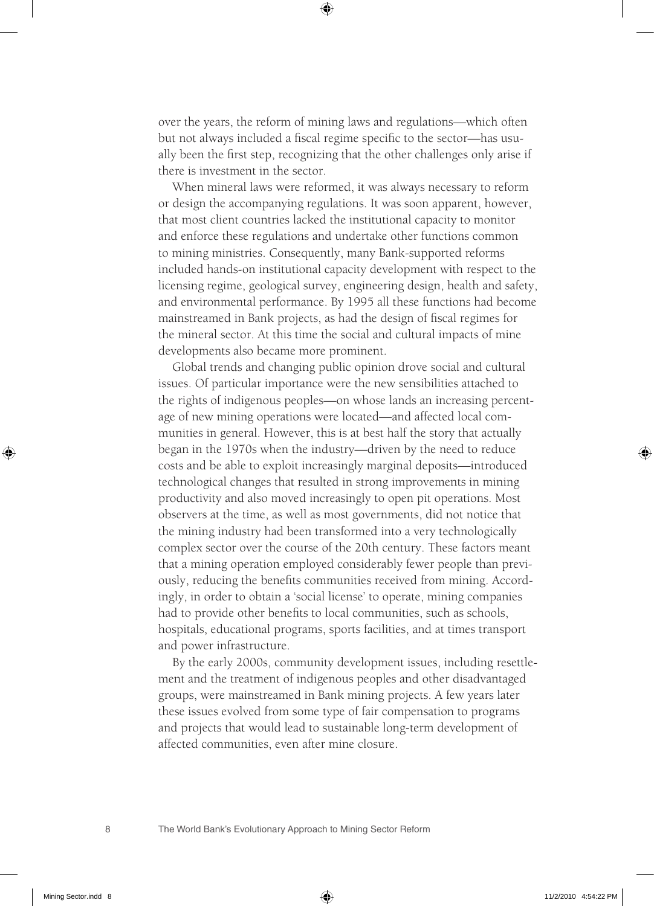over the years, the reform of mining laws and regulations—which often but not always included a fiscal regime specific to the sector—has usually been the first step, recognizing that the other challenges only arise if there is investment in the sector.

When mineral laws were reformed, it was always necessary to reform or design the accompanying regulations. It was soon apparent, however, that most client countries lacked the institutional capacity to monitor and enforce these regulations and undertake other functions common to mining ministries. Consequently, many Bank-supported reforms included hands-on institutional capacity development with respect to the licensing regime, geological survey, engineering design, health and safety, and environmental performance. By 1995 all these functions had become mainstreamed in Bank projects, as had the design of fiscal regimes for the mineral sector. At this time the social and cultural impacts of mine developments also became more prominent.

Global trends and changing public opinion drove social and cultural issues. Of particular importance were the new sensibilities attached to the rights of indigenous peoples—on whose lands an increasing percentage of new mining operations were located—and affected local communities in general. However, this is at best half the story that actually began in the 1970s when the industry—driven by the need to reduce costs and be able to exploit increasingly marginal deposits—introduced technological changes that resulted in strong improvements in mining productivity and also moved increasingly to open pit operations. Most observers at the time, as well as most governments, did not notice that the mining industry had been transformed into a very technologically complex sector over the course of the 20th century. These factors meant that a mining operation employed considerably fewer people than previously, reducing the benefits communities received from mining. Accordingly, in order to obtain a 'social license' to operate, mining companies had to provide other benefits to local communities, such as schools, hospitals, educational programs, sports facilities, and at times transport and power infrastructure.

By the early 2000s, community development issues, including resettlement and the treatment of indigenous peoples and other disadvantaged groups, were mainstreamed in Bank mining projects. A few years later these issues evolved from some type of fair compensation to programs and projects that would lead to sustainable long-term development of affected communities, even after mine closure.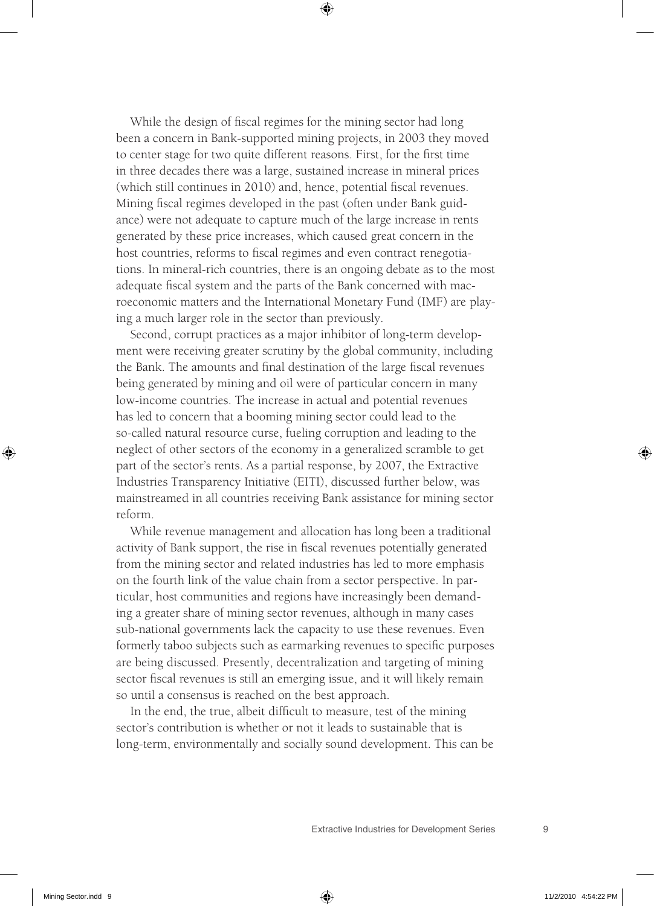While the design of fiscal regimes for the mining sector had long been a concern in Bank-supported mining projects, in 2003 they moved to center stage for two quite different reasons. First, for the first time in three decades there was a large, sustained increase in mineral prices (which still continues in 2010) and, hence, potential fiscal revenues. Mining fiscal regimes developed in the past (often under Bank guidance) were not adequate to capture much of the large increase in rents generated by these price increases, which caused great concern in the host countries, reforms to fiscal regimes and even contract renegotiations. In mineral-rich countries, there is an ongoing debate as to the most adequate fiscal system and the parts of the Bank concerned with macroeconomic matters and the International Monetary Fund (IMF) are playing a much larger role in the sector than previously.

Second, corrupt practices as a major inhibitor of long-term development were receiving greater scrutiny by the global community, including the Bank. The amounts and final destination of the large fiscal revenues being generated by mining and oil were of particular concern in many low-income countries. The increase in actual and potential revenues has led to concern that a booming mining sector could lead to the so-called natural resource curse, fueling corruption and leading to the neglect of other sectors of the economy in a generalized scramble to get part of the sector's rents. As a partial response, by 2007, the Extractive Industries Transparency Initiative (EITI), discussed further below, was mainstreamed in all countries receiving Bank assistance for mining sector reform.

While revenue management and allocation has long been a traditional activity of Bank support, the rise in fiscal revenues potentially generated from the mining sector and related industries has led to more emphasis on the fourth link of the value chain from a sector perspective. In particular, host communities and regions have increasingly been demanding a greater share of mining sector revenues, although in many cases sub-national governments lack the capacity to use these revenues. Even formerly taboo subjects such as earmarking revenues to specific purposes are being discussed. Presently, decentralization and targeting of mining sector fiscal revenues is still an emerging issue, and it will likely remain so until a consensus is reached on the best approach.

In the end, the true, albeit difficult to measure, test of the mining sector's contribution is whether or not it leads to sustainable that is long-term, environmentally and socially sound development. This can be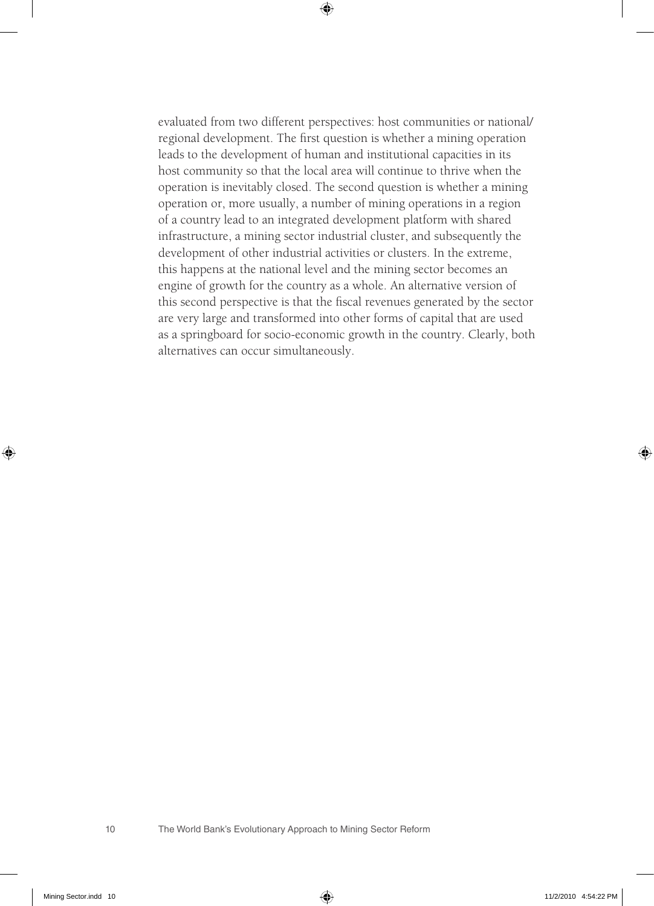evaluated from two different perspectives: host communities or national/ regional development. The first question is whether a mining operation leads to the development of human and institutional capacities in its host community so that the local area will continue to thrive when the operation is inevitably closed. The second question is whether a mining operation or, more usually, a number of mining operations in a region of a country lead to an integrated development platform with shared infrastructure, a mining sector industrial cluster, and subsequently the development of other industrial activities or clusters. In the extreme, this happens at the national level and the mining sector becomes an engine of growth for the country as a whole. An alternative version of this second perspective is that the fiscal revenues generated by the sector are very large and transformed into other forms of capital that are used as a springboard for socio-economic growth in the country. Clearly, both alternatives can occur simultaneously.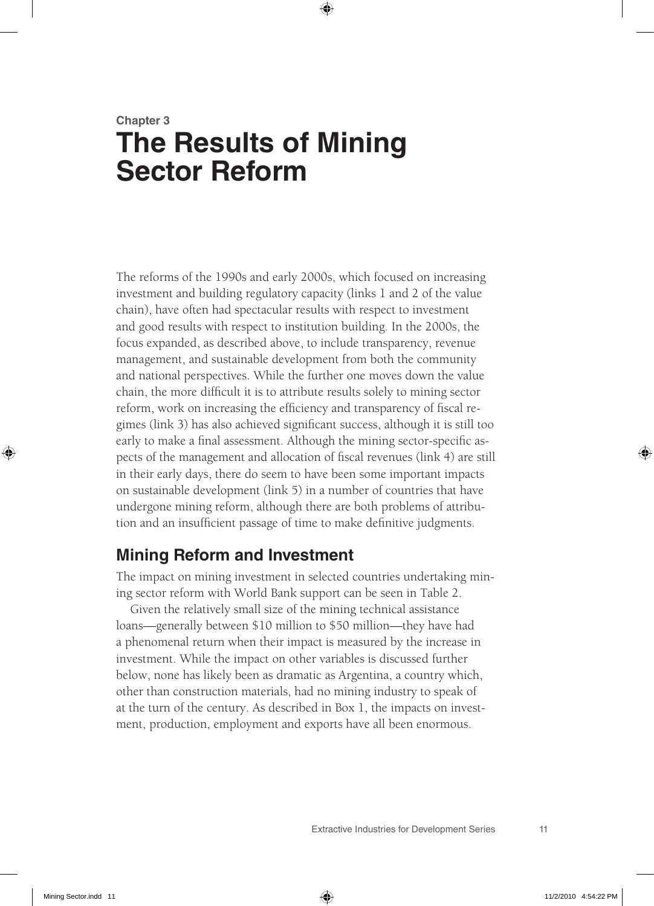## **Chapter 3 The Results of Mining Sector Reform**

The reforms of the 1990s and early 2000s, which focused on increasing investment and building regulatory capacity (links 1 and 2 of the value chain), have often had spectacular results with respect to investment and good results with respect to institution building. In the 2000s, the focus expanded, as described above, to include transparency, revenue management, and sustainable development from both the community and national perspectives. While the further one moves down the value chain, the more difficult it is to attribute results solely to mining sector reform, work on increasing the efficiency and transparency of fiscal regimes (link 3) has also achieved significant success, although it is still too early to make a final assessment. Although the mining sector-specific aspects of the management and allocation of fiscal revenues (link 4) are still in their early days, there do seem to have been some important impacts on sustainable development (link 5) in a number of countries that have undergone mining reform, although there are both problems of attribution and an insufficient passage of time to make definitive judgments.

### **Mining Reform and Investment**

The impact on mining investment in selected countries undertaking mining sector reform with World Bank support can be seen in Table 2.

Given the relatively small size of the mining technical assistance loans—generally between \$10 million to \$50 million—they have had a phenomenal return when their impact is measured by the increase in investment. While the impact on other variables is discussed further below, none has likely been as dramatic as Argentina, a country which, other than construction materials, had no mining industry to speak of at the turn of the century. As described in Box 1, the impacts on investment, production, employment and exports have all been enormous.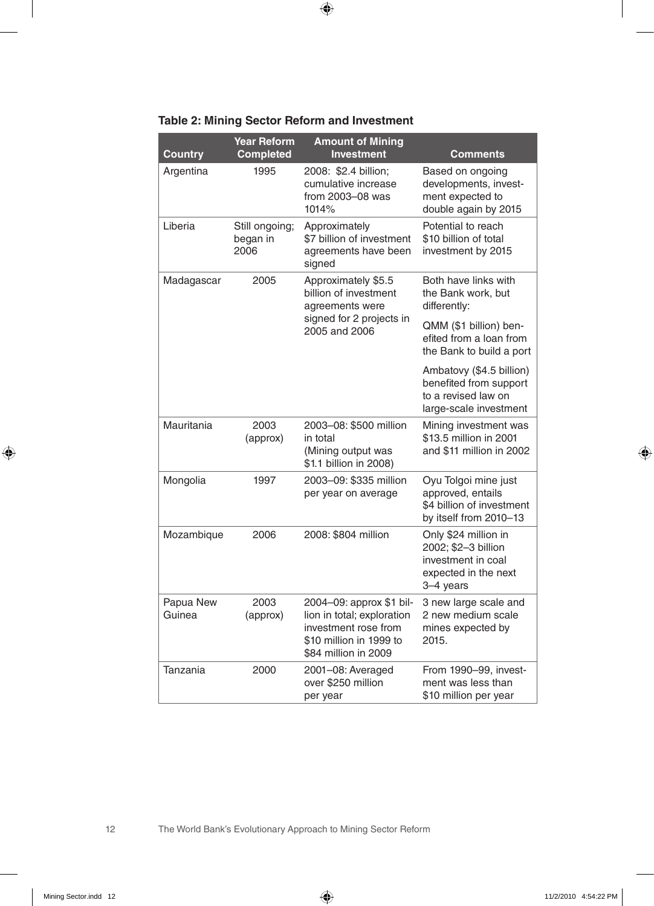| Country             | <b>Year Reform</b><br><b>Completed</b> | <b>Amount of Mining</b><br><b>Investment</b>                                                                                      | Comments                                                                                               |
|---------------------|----------------------------------------|-----------------------------------------------------------------------------------------------------------------------------------|--------------------------------------------------------------------------------------------------------|
| Argentina           | 1995                                   | 2008: \$2.4 billion:<br>cumulative increase<br>from 2003-08 was<br>1014%                                                          | Based on ongoing<br>developments, invest-<br>ment expected to<br>double again by 2015                  |
| Liberia             | Still ongoing;<br>began in<br>2006     | Approximately<br>\$7 billion of investment<br>agreements have been<br>signed                                                      | Potential to reach<br>\$10 billion of total<br>investment by 2015                                      |
| Madagascar          | 2005                                   | Approximately \$5.5<br>billion of investment<br>agreements were                                                                   | Both have links with<br>the Bank work, but<br>differently:                                             |
|                     |                                        | signed for 2 projects in<br>2005 and 2006                                                                                         | QMM (\$1 billion) ben-<br>efited from a loan from<br>the Bank to build a port                          |
|                     |                                        |                                                                                                                                   | Ambatovy (\$4.5 billion)<br>benefited from support<br>to a revised law on<br>large-scale investment    |
| Mauritania          | 2003<br>(approx)                       | 2003-08: \$500 million<br>in total<br>(Mining output was<br>\$1.1 billion in 2008)                                                | Mining investment was<br>\$13.5 million in 2001<br>and \$11 million in 2002                            |
| Mongolia            | 1997                                   | 2003-09: \$335 million<br>per year on average                                                                                     | Oyu Tolgoi mine just<br>approved, entails<br>\$4 billion of investment<br>by itself from 2010-13       |
| Mozambique          | 2006                                   | 2008: \$804 million                                                                                                               | Only \$24 million in<br>2002; \$2-3 billion<br>investment in coal<br>expected in the next<br>3-4 years |
| Papua New<br>Guinea | 2003<br>(approx)                       | 2004-09: approx \$1 bil-<br>lion in total; exploration<br>investment rose from<br>\$10 million in 1999 to<br>\$84 million in 2009 | 3 new large scale and<br>2 new medium scale<br>mines expected by<br>2015.                              |
| Tanzania            | 2000                                   | 2001-08: Averaged<br>over \$250 million<br>per year                                                                               | From 1990-99, invest-<br>ment was less than<br>\$10 million per year                                   |

#### **Table 2: Mining Sector Reform and Investment**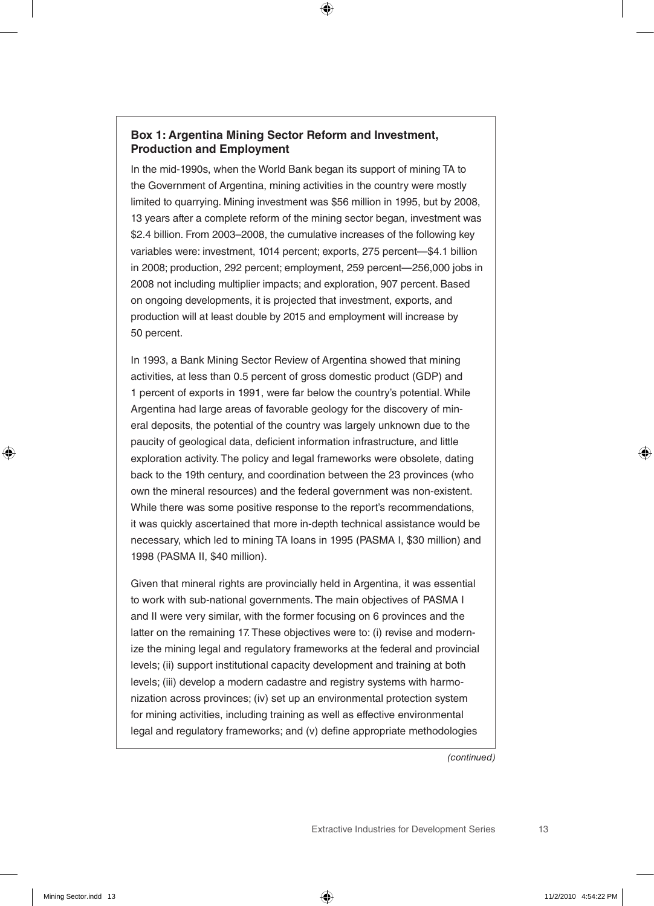#### **Box 1: Argentina Mining Sector Reform and Investment, Production and Employment**

In the mid-1990s, when the World Bank began its support of mining TA to the Government of Argentina, mining activities in the country were mostly limited to quarrying. Mining investment was \$56 million in 1995, but by 2008, 13 years after a complete reform of the mining sector began, investment was \$2.4 billion. From 2003–2008, the cumulative increases of the following key variables were: investment, 1014 percent; exports, 275 percent—\$4.1 billion in 2008; production, 292 percent; employment, 259 percent—256,000 jobs in 2008 not including multiplier impacts; and exploration, 907 percent. Based on ongoing developments, it is projected that investment, exports, and production will at least double by 2015 and employment will increase by 50 percent.

In 1993, a Bank Mining Sector Review of Argentina showed that mining activities, at less than 0.5 percent of gross domestic product (GDP) and 1 percent of exports in 1991, were far below the country's potential. While Argentina had large areas of favorable geology for the discovery of mineral deposits, the potential of the country was largely unknown due to the paucity of geological data, deficient information infrastructure, and little exploration activity. The policy and legal frameworks were obsolete, dating back to the 19th century, and coordination between the 23 provinces (who own the mineral resources) and the federal government was non-existent. While there was some positive response to the report's recommendations, it was quickly ascertained that more in-depth technical assistance would be necessary, which led to mining TA loans in 1995 (PASMA I, \$30 million) and 1998 (PASMA II, \$40 million).

Given that mineral rights are provincially held in Argentina, it was essential to work with sub-national governments. The main objectives of PASMA I and II were very similar, with the former focusing on 6 provinces and the latter on the remaining 17. These objectives were to: (i) revise and modernize the mining legal and regulatory frameworks at the federal and provincial levels; (ii) support institutional capacity development and training at both levels; (iii) develop a modern cadastre and registry systems with harmonization across provinces; (iv) set up an environmental protection system for mining activities, including training as well as effective environmental legal and regulatory frameworks; and (v) define appropriate methodologies

*(continued)*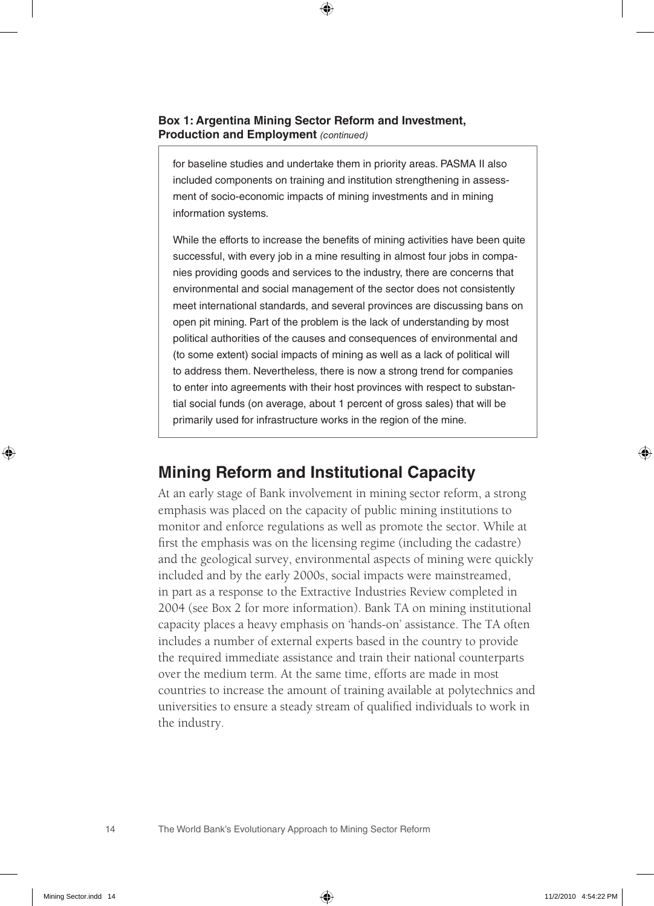**Box 1: Argentina Mining Sector Reform and Investment, Production and Employment** *(continued)*

for baseline studies and undertake them in priority areas. PASMA II also included components on training and institution strengthening in assessment of socio-economic impacts of mining investments and in mining information systems.

While the efforts to increase the benefits of mining activities have been quite successful, with every job in a mine resulting in almost four jobs in companies providing goods and services to the industry, there are concerns that environmental and social management of the sector does not consistently meet international standards, and several provinces are discussing bans on open pit mining. Part of the problem is the lack of understanding by most political authorities of the causes and consequences of environmental and (to some extent) social impacts of mining as well as a lack of political will to address them. Nevertheless, there is now a strong trend for companies to enter into agreements with their host provinces with respect to substantial social funds (on average, about 1 percent of gross sales) that will be primarily used for infrastructure works in the region of the mine.

#### **Mining Reform and Institutional Capacity**

At an early stage of Bank involvement in mining sector reform, a strong emphasis was placed on the capacity of public mining institutions to monitor and enforce regulations as well as promote the sector. While at first the emphasis was on the licensing regime (including the cadastre) and the geological survey, environmental aspects of mining were quickly included and by the early 2000s, social impacts were mainstreamed, in part as a response to the Extractive Industries Review completed in 2004 (see Box 2 for more information). Bank TA on mining institutional capacity places a heavy emphasis on 'hands-on' assistance. The TA often includes a number of external experts based in the country to provide the required immediate assistance and train their national counterparts over the medium term. At the same time, efforts are made in most countries to increase the amount of training available at polytechnics and universities to ensure a steady stream of qualified individuals to work in the industry.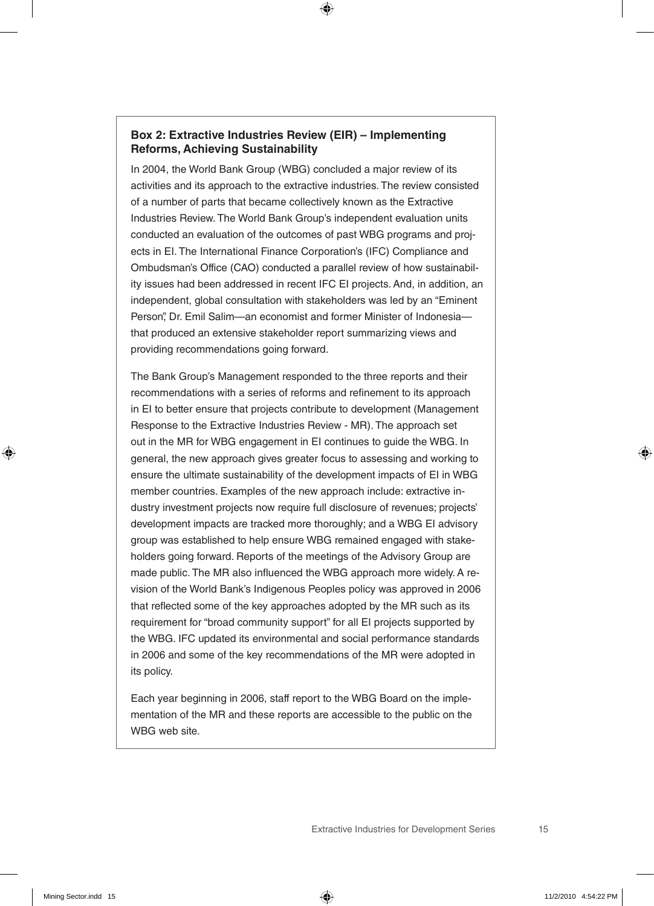#### **Box 2: Extractive Industries Review (EIR) – Implementing Reforms, Achieving Sustainability**

In 2004, the World Bank Group (WBG) concluded a major review of its activities and its approach to the extractive industries. The review consisted of a number of parts that became collectively known as the Extractive Industries Review. The World Bank Group's independent evaluation units conducted an evaluation of the outcomes of past WBG programs and projects in EI. The International Finance Corporation's (IFC) Compliance and Ombudsman's Office (CAO) conducted a parallel review of how sustainability issues had been addressed in recent IFC EI projects. And, in addition, an independent, global consultation with stakeholders was led by an "Eminent Person", Dr. Emil Salim-an economist and former Minister of Indonesiathat produced an extensive stakeholder report summarizing views and providing recommendations going forward.

The Bank Group's Management responded to the three reports and their recommendations with a series of reforms and refinement to its approach in EI to better ensure that projects contribute to development (Management Response to the Extractive Industries Review - MR). The approach set out in the MR for WBG engagement in EI continues to guide the WBG. In general, the new approach gives greater focus to assessing and working to ensure the ultimate sustainability of the development impacts of EI in WBG member countries. Examples of the new approach include: extractive industry investment projects now require full disclosure of revenues; projects' development impacts are tracked more thoroughly; and a WBG EI advisory group was established to help ensure WBG remained engaged with stakeholders going forward. Reports of the meetings of the Advisory Group are made public. The MR also influenced the WBG approach more widely. A revision of the World Bank's Indigenous Peoples policy was approved in 2006 that reflected some of the key approaches adopted by the MR such as its requirement for "broad community support" for all EI projects supported by the WBG. IFC updated its environmental and social performance standards in 2006 and some of the key recommendations of the MR were adopted in its policy.

Each year beginning in 2006, staff report to the WBG Board on the implementation of the MR and these reports are accessible to the public on the WBG web site.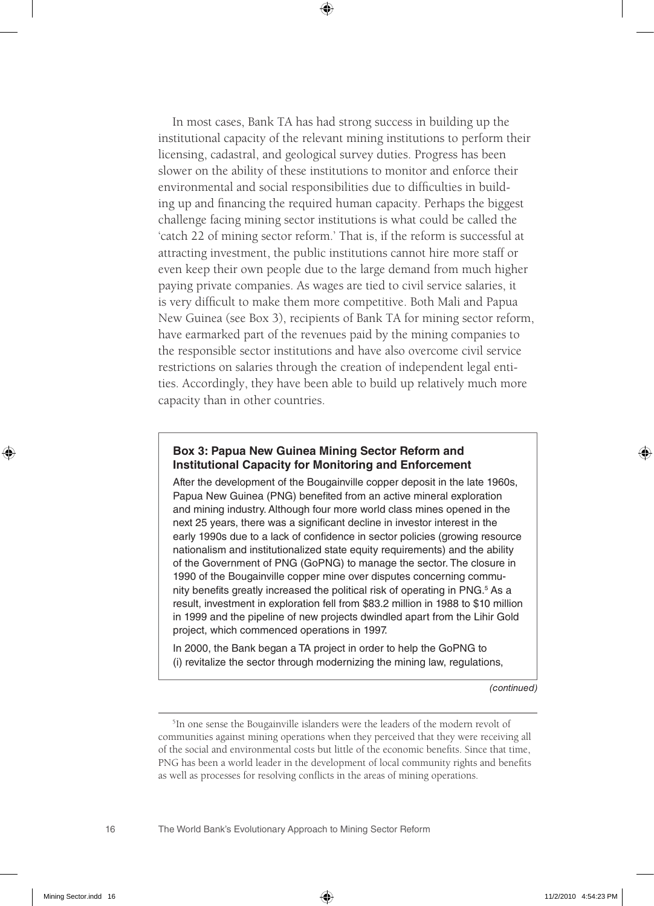In most cases, Bank TA has had strong success in building up the institutional capacity of the relevant mining institutions to perform their licensing, cadastral, and geological survey duties. Progress has been slower on the ability of these institutions to monitor and enforce their environmental and social responsibilities due to difficulties in building up and financing the required human capacity. Perhaps the biggest challenge facing mining sector institutions is what could be called the 'catch 22 of mining sector reform.' That is, if the reform is successful at attracting investment, the public institutions cannot hire more staff or even keep their own people due to the large demand from much higher paying private companies. As wages are tied to civil service salaries, it is very difficult to make them more competitive. Both Mali and Papua New Guinea (see Box 3), recipients of Bank TA for mining sector reform, have earmarked part of the revenues paid by the mining companies to the responsible sector institutions and have also overcome civil service restrictions on salaries through the creation of independent legal entities. Accordingly, they have been able to build up relatively much more capacity than in other countries.

#### **Box 3: Papua New Guinea Mining Sector Reform and Institutional Capacity for Monitoring and Enforcement**

After the development of the Bougainville copper deposit in the late 1960s, Papua New Guinea (PNG) benefited from an active mineral exploration and mining industry. Although four more world class mines opened in the next 25 years, there was a significant decline in investor interest in the early 1990s due to a lack of confidence in sector policies (growing resource nationalism and institutionalized state equity requirements) and the ability of the Government of PNG (GoPNG) to manage the sector. The closure in 1990 of the Bougainville copper mine over disputes concerning community benefits greatly increased the political risk of operating in PNG.<sup>5</sup> As a result, investment in exploration fell from \$83.2 million in 1988 to \$10 million in 1999 and the pipeline of new projects dwindled apart from the Lihir Gold project, which commenced operations in 1997.

In 2000, the Bank began a TA project in order to help the GoPNG to (i) revitalize the sector through modernizing the mining law, regulations,

*(continued)*

<sup>&</sup>lt;sup>5</sup>In one sense the Bougainville islanders were the leaders of the modern revolt of communities against mining operations when they perceived that they were receiving all of the social and environmental costs but little of the economic benefits. Since that time, PNG has been a world leader in the development of local community rights and benefits as well as processes for resolving conflicts in the areas of mining operations.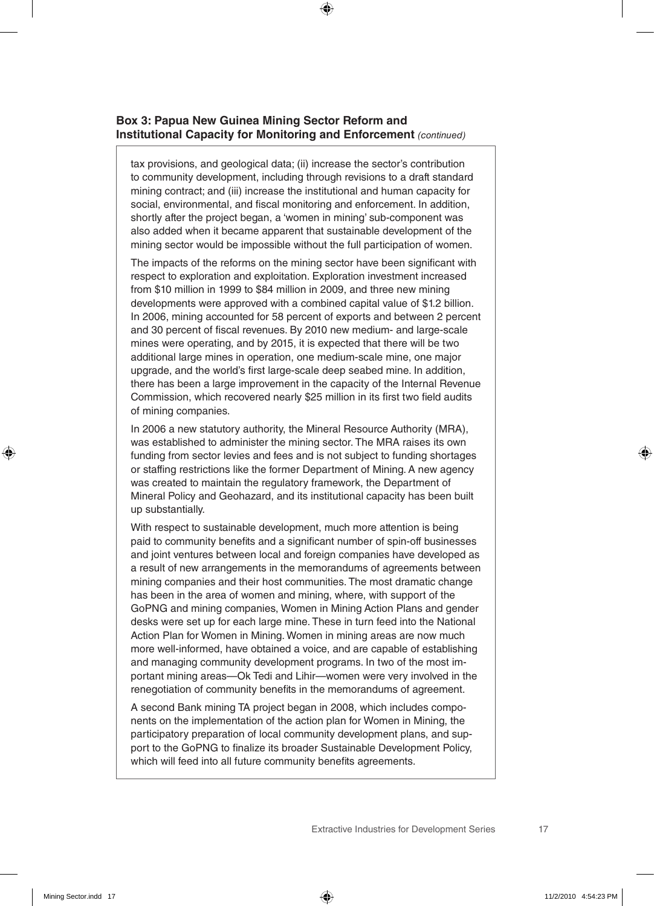#### **Box 3: Papua New Guinea Mining Sector Reform and Institutional Capacity for Monitoring and Enforcement** *(continued)*

tax provisions, and geological data; (ii) increase the sector's contribution to community development, including through revisions to a draft standard mining contract; and (iii) increase the institutional and human capacity for social, environmental, and fiscal monitoring and enforcement. In addition, shortly after the project began, a 'women in mining' sub-component was also added when it became apparent that sustainable development of the mining sector would be impossible without the full participation of women.

The impacts of the reforms on the mining sector have been significant with respect to exploration and exploitation. Exploration investment increased from \$10 million in 1999 to \$84 million in 2009, and three new mining developments were approved with a combined capital value of \$1.2 billion. In 2006, mining accounted for 58 percent of exports and between 2 percent and 30 percent of fiscal revenues. By 2010 new medium- and large-scale mines were operating, and by 2015, it is expected that there will be two additional large mines in operation, one medium-scale mine, one major upgrade, and the world's first large-scale deep seabed mine. In addition, there has been a large improvement in the capacity of the Internal Revenue Commission, which recovered nearly \$25 million in its first two field audits of mining companies.

In 2006 a new statutory authority, the Mineral Resource Authority (MRA), was established to administer the mining sector. The MRA raises its own funding from sector levies and fees and is not subject to funding shortages or staffing restrictions like the former Department of Mining. A new agency was created to maintain the regulatory framework, the Department of Mineral Policy and Geohazard, and its institutional capacity has been built up substantially.

With respect to sustainable development, much more attention is being paid to community benefits and a significant number of spin-off businesses and joint ventures between local and foreign companies have developed as a result of new arrangements in the memorandums of agreements between mining companies and their host communities. The most dramatic change has been in the area of women and mining, where, with support of the GoPNG and mining companies, Women in Mining Action Plans and gender desks were set up for each large mine. These in turn feed into the National Action Plan for Women in Mining. Women in mining areas are now much more well-informed, have obtained a voice, and are capable of establishing and managing community development programs. In two of the most important mining areas—Ok Tedi and Lihir—women were very involved in the renegotiation of community benefits in the memorandums of agreement.

A second Bank mining TA project began in 2008, which includes components on the implementation of the action plan for Women in Mining, the participatory preparation of local community development plans, and support to the GoPNG to finalize its broader Sustainable Development Policy, which will feed into all future community benefits agreements.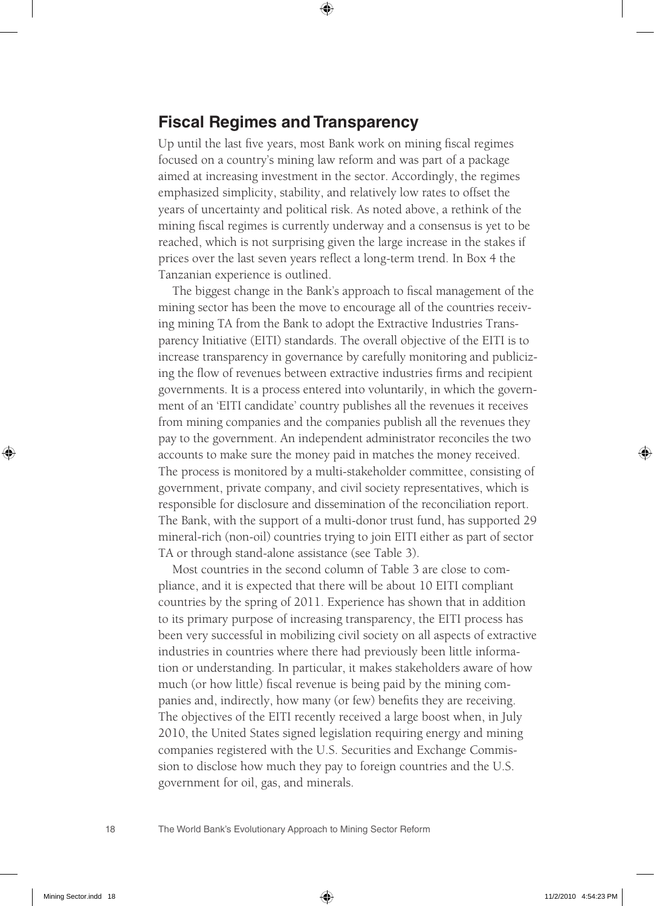#### **Fiscal Regimes and Transparency**

Up until the last five years, most Bank work on mining fiscal regimes focused on a country's mining law reform and was part of a package aimed at increasing investment in the sector. Accordingly, the regimes emphasized simplicity, stability, and relatively low rates to offset the years of uncertainty and political risk. As noted above, a rethink of the mining fiscal regimes is currently underway and a consensus is yet to be reached, which is not surprising given the large increase in the stakes if prices over the last seven years reflect a long-term trend. In Box 4 the Tanzanian experience is outlined.

The biggest change in the Bank's approach to fiscal management of the mining sector has been the move to encourage all of the countries receiving mining TA from the Bank to adopt the Extractive Industries Transparency Initiative (EITI) standards. The overall objective of the EITI is to increase transparency in governance by carefully monitoring and publicizing the flow of revenues between extractive industries firms and recipient governments. It is a process entered into voluntarily, in which the government of an 'EITI candidate' country publishes all the revenues it receives from mining companies and the companies publish all the revenues they pay to the government. An independent administrator reconciles the two accounts to make sure the money paid in matches the money received. The process is monitored by a multi-stakeholder committee, consisting of government, private company, and civil society representatives, which is responsible for disclosure and dissemination of the reconciliation report. The Bank, with the support of a multi-donor trust fund, has supported 29 mineral-rich (non-oil) countries trying to join EITI either as part of sector TA or through stand-alone assistance (see Table 3).

Most countries in the second column of Table 3 are close to compliance, and it is expected that there will be about 10 EITI compliant countries by the spring of 2011. Experience has shown that in addition to its primary purpose of increasing transparency, the EITI process has been very successful in mobilizing civil society on all aspects of extractive industries in countries where there had previously been little information or understanding. In particular, it makes stakeholders aware of how much (or how little) fiscal revenue is being paid by the mining companies and, indirectly, how many (or few) benefits they are receiving. The objectives of the EITI recently received a large boost when, in July 2010, the United States signed legislation requiring energy and mining companies registered with the U.S. Securities and Exchange Commission to disclose how much they pay to foreign countries and the U.S. government for oil, gas, and minerals.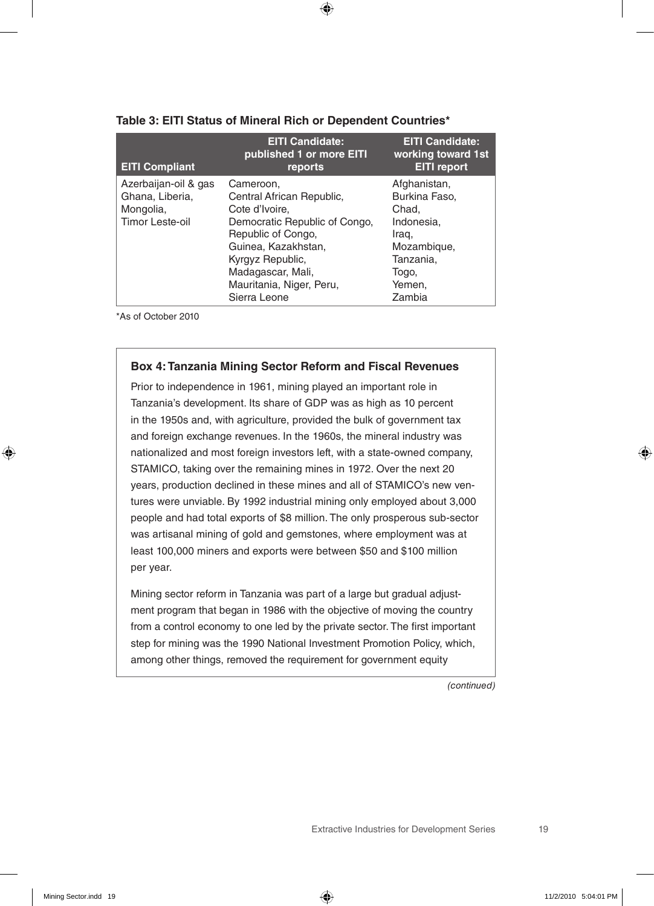| <b>EITI Compliant</b>                                                   | <b>EITI Candidate:</b><br>published 1 or more EITI<br>reports                                                                                                                                                               | <b>EITI Candidate:</b><br>working toward 1st<br><b>EITI report</b>                                                     |
|-------------------------------------------------------------------------|-----------------------------------------------------------------------------------------------------------------------------------------------------------------------------------------------------------------------------|------------------------------------------------------------------------------------------------------------------------|
| Azerbaijan-oil & gas<br>Ghana, Liberia,<br>Mongolia,<br>Timor Leste-oil | Cameroon.<br>Central African Republic,<br>Cote d'Ivoire,<br>Democratic Republic of Congo,<br>Republic of Congo,<br>Guinea, Kazakhstan,<br>Kyrgyz Republic,<br>Madagascar, Mali,<br>Mauritania, Niger, Peru,<br>Sierra Leone | Afghanistan,<br>Burkina Faso,<br>Chad.<br>Indonesia.<br>Iraq,<br>Mozambique,<br>Tanzania.<br>Togo,<br>Yemen.<br>Zambia |

#### **Table 3: EITI Status of Mineral Rich or Dependent Countries\***

\*As of October 2010

#### **Box 4: Tanzania Mining Sector Reform and Fiscal Revenues**

Prior to independence in 1961, mining played an important role in Tanzania's development. Its share of GDP was as high as 10 percent in the 1950s and, with agriculture, provided the bulk of government tax and foreign exchange revenues. In the 1960s, the mineral industry was nationalized and most foreign investors left, with a state-owned company, STAMICO, taking over the remaining mines in 1972. Over the next 20 years, production declined in these mines and all of STAMICO's new ventures were unviable. By 1992 industrial mining only employed about 3,000 people and had total exports of \$8 million. The only prosperous sub-sector was artisanal mining of gold and gemstones, where employment was at least 100,000 miners and exports were between \$50 and \$100 million per year.

Mining sector reform in Tanzania was part of a large but gradual adjustment program that began in 1986 with the objective of moving the country from a control economy to one led by the private sector. The first important step for mining was the 1990 National Investment Promotion Policy, which, among other things, removed the requirement for government equity

*(continued)*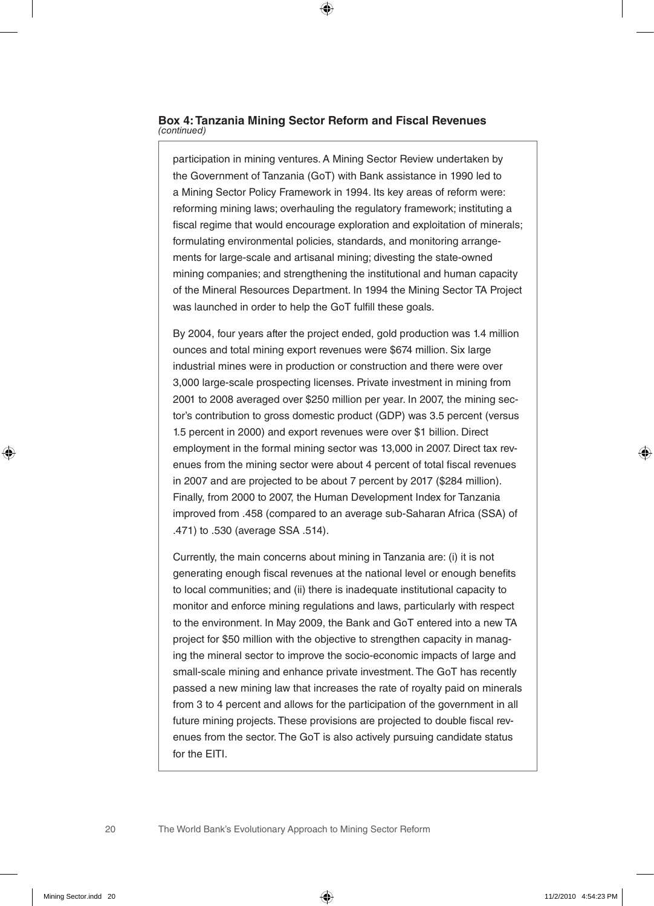#### **Box 4: Tanzania Mining Sector Reform and Fiscal Revenues**  *(continued)*

participation in mining ventures. A Mining Sector Review undertaken by the Government of Tanzania (GoT) with Bank assistance in 1990 led to a Mining Sector Policy Framework in 1994. Its key areas of reform were: reforming mining laws; overhauling the regulatory framework; instituting a fiscal regime that would encourage exploration and exploitation of minerals; formulating environmental policies, standards, and monitoring arrangements for large-scale and artisanal mining; divesting the state-owned mining companies; and strengthening the institutional and human capacity of the Mineral Resources Department. In 1994 the Mining Sector TA Project was launched in order to help the GoT fulfill these goals.

By 2004, four years after the project ended, gold production was 1.4 million ounces and total mining export revenues were \$674 million. Six large industrial mines were in production or construction and there were over 3,000 large-scale prospecting licenses. Private investment in mining from 2001 to 2008 averaged over \$250 million per year. In 2007, the mining sector's contribution to gross domestic product (GDP) was 3.5 percent (versus 1.5 percent in 2000) and export revenues were over \$1 billion. Direct employment in the formal mining sector was 13,000 in 2007. Direct tax revenues from the mining sector were about 4 percent of total fiscal revenues in 2007 and are projected to be about 7 percent by 2017 (\$284 million). Finally, from 2000 to 2007, the Human Development Index for Tanzania improved from .458 (compared to an average sub-Saharan Africa (SSA) of .471) to .530 (average SSA .514).

Currently, the main concerns about mining in Tanzania are: (i) it is not generating enough fiscal revenues at the national level or enough benefits to local communities; and (ii) there is inadequate institutional capacity to monitor and enforce mining regulations and laws, particularly with respect to the environment. In May 2009, the Bank and GoT entered into a new TA project for \$50 million with the objective to strengthen capacity in managing the mineral sector to improve the socio-economic impacts of large and small-scale mining and enhance private investment. The GoT has recently passed a new mining law that increases the rate of royalty paid on minerals from 3 to 4 percent and allows for the participation of the government in all future mining projects. These provisions are projected to double fiscal revenues from the sector. The GoT is also actively pursuing candidate status for the EITI.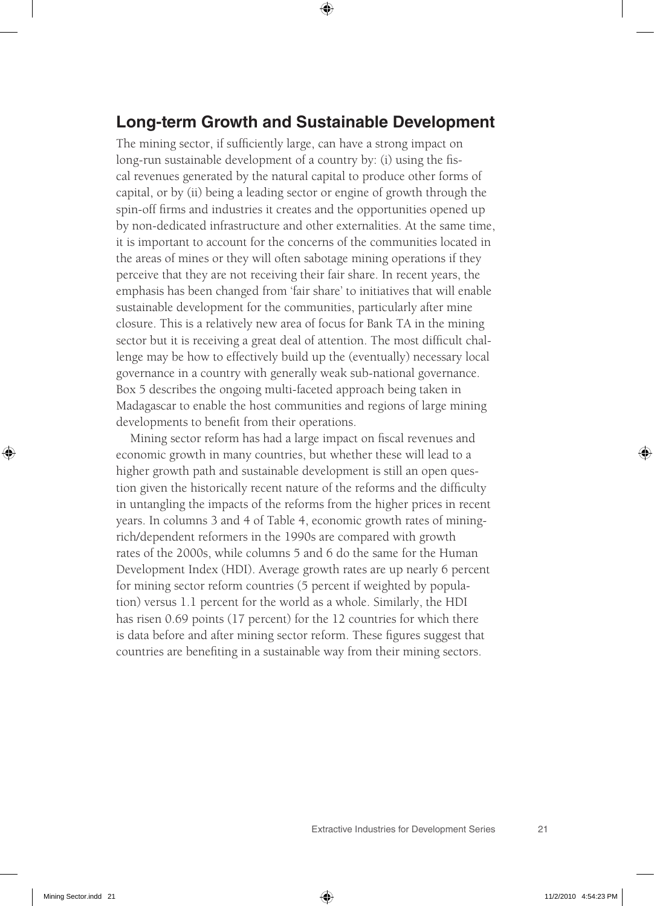#### **Long-term Growth and Sustainable Development**

The mining sector, if sufficiently large, can have a strong impact on long-run sustainable development of a country by: (i) using the fiscal revenues generated by the natural capital to produce other forms of capital, or by (ii) being a leading sector or engine of growth through the spin-off firms and industries it creates and the opportunities opened up by non-dedicated infrastructure and other externalities. At the same time, it is important to account for the concerns of the communities located in the areas of mines or they will often sabotage mining operations if they perceive that they are not receiving their fair share. In recent years, the emphasis has been changed from 'fair share' to initiatives that will enable sustainable development for the communities, particularly after mine closure. This is a relatively new area of focus for Bank TA in the mining sector but it is receiving a great deal of attention. The most difficult challenge may be how to effectively build up the (eventually) necessary local governance in a country with generally weak sub-national governance. Box 5 describes the ongoing multi-faceted approach being taken in Madagascar to enable the host communities and regions of large mining developments to benefit from their operations.

Mining sector reform has had a large impact on fiscal revenues and economic growth in many countries, but whether these will lead to a higher growth path and sustainable development is still an open question given the historically recent nature of the reforms and the difficulty in untangling the impacts of the reforms from the higher prices in recent years. In columns 3 and 4 of Table 4, economic growth rates of miningrich/dependent reformers in the 1990s are compared with growth rates of the 2000s, while columns 5 and 6 do the same for the Human Development Index (HDI). Average growth rates are up nearly 6 percent for mining sector reform countries (5 percent if weighted by population) versus 1.1 percent for the world as a whole. Similarly, the HDI has risen 0.69 points (17 percent) for the 12 countries for which there is data before and after mining sector reform. These figures suggest that countries are benefiting in a sustainable way from their mining sectors.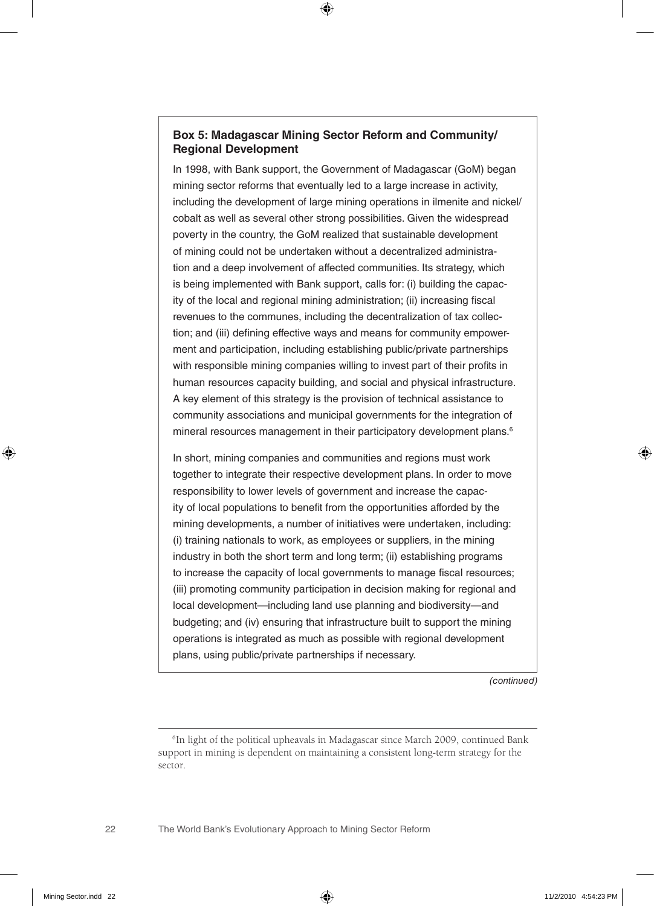#### **Box 5: Madagascar Mining Sector Reform and Community/ Regional Development**

In 1998, with Bank support, the Government of Madagascar (GoM) began mining sector reforms that eventually led to a large increase in activity, including the development of large mining operations in ilmenite and nickel/ cobalt as well as several other strong possibilities. Given the widespread poverty in the country, the GoM realized that sustainable development of mining could not be undertaken without a decentralized administration and a deep involvement of affected communities. Its strategy, which is being implemented with Bank support, calls for: (i) building the capacity of the local and regional mining administration; (ii) increasing fiscal revenues to the communes, including the decentralization of tax collection; and (iii) defining effective ways and means for community empowerment and participation, including establishing public/private partnerships with responsible mining companies willing to invest part of their profits in human resources capacity building, and social and physical infrastructure. A key element of this strategy is the provision of technical assistance to community associations and municipal governments for the integration of mineral resources management in their participatory development plans.<sup>6</sup>

In short, mining companies and communities and regions must work together to integrate their respective development plans. In order to move responsibility to lower levels of government and increase the capacity of local populations to benefit from the opportunities afforded by the mining developments, a number of initiatives were undertaken, including: (i) training nationals to work, as employees or suppliers, in the mining industry in both the short term and long term; (ii) establishing programs to increase the capacity of local governments to manage fiscal resources; (iii) promoting community participation in decision making for regional and local development—including land use planning and biodiversity—and budgeting; and (iv) ensuring that infrastructure built to support the mining operations is integrated as much as possible with regional development plans, using public/private partnerships if necessary.

*(continued)*

<sup>&</sup>lt;sup>6</sup>In light of the political upheavals in Madagascar since March 2009, continued Bank support in mining is dependent on maintaining a consistent long-term strategy for the sector.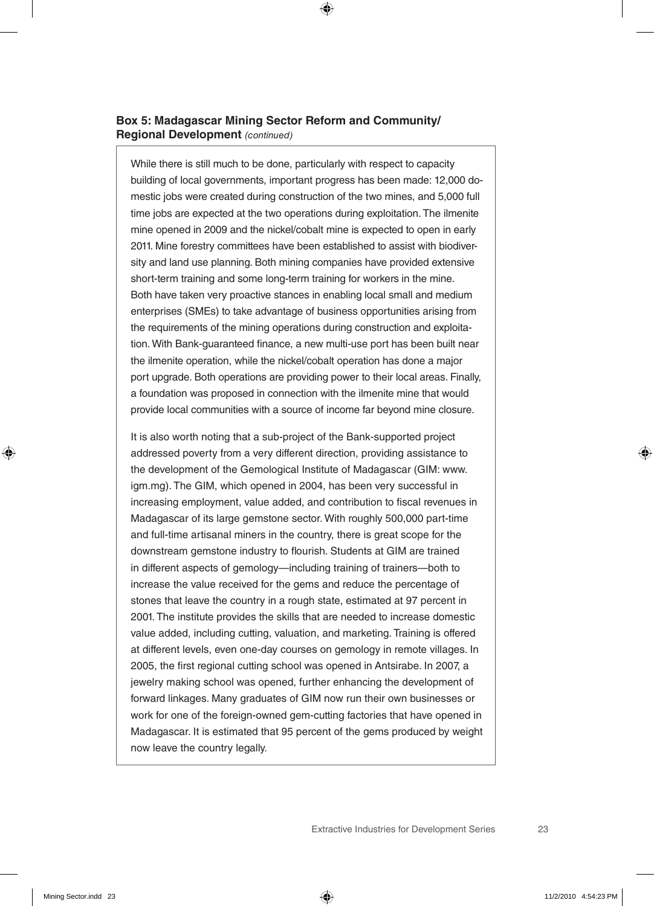#### **Box 5: Madagascar Mining Sector Reform and Community/ Regional Development** *(continued)*

While there is still much to be done, particularly with respect to capacity building of local governments, important progress has been made: 12,000 domestic jobs were created during construction of the two mines, and 5,000 full time jobs are expected at the two operations during exploitation. The ilmenite mine opened in 2009 and the nickel/cobalt mine is expected to open in early 2011. Mine forestry committees have been established to assist with biodiversity and land use planning. Both mining companies have provided extensive short-term training and some long-term training for workers in the mine. Both have taken very proactive stances in enabling local small and medium enterprises (SMEs) to take advantage of business opportunities arising from the requirements of the mining operations during construction and exploitation. With Bank-guaranteed finance, a new multi-use port has been built near the ilmenite operation, while the nickel/cobalt operation has done a major port upgrade. Both operations are providing power to their local areas. Finally, a foundation was proposed in connection with the ilmenite mine that would provide local communities with a source of income far beyond mine closure.

It is also worth noting that a sub-project of the Bank-supported project addressed poverty from a very different direction, providing assistance to the development of the Gemological Institute of Madagascar (GIM: www. igm.mg). The GIM, which opened in 2004, has been very successful in increasing employment, value added, and contribution to fiscal revenues in Madagascar of its large gemstone sector. With roughly 500,000 part-time and full-time artisanal miners in the country, there is great scope for the downstream gemstone industry to flourish. Students at GIM are trained in different aspects of gemology—including training of trainers—both to increase the value received for the gems and reduce the percentage of stones that leave the country in a rough state, estimated at 97 percent in 2001. The institute provides the skills that are needed to increase domestic value added, including cutting, valuation, and marketing. Training is offered at different levels, even one-day courses on gemology in remote villages. In 2005, the first regional cutting school was opened in Antsirabe. In 2007, a jewelry making school was opened, further enhancing the development of forward linkages. Many graduates of GIM now run their own businesses or work for one of the foreign-owned gem-cutting factories that have opened in Madagascar. It is estimated that 95 percent of the gems produced by weight now leave the country legally.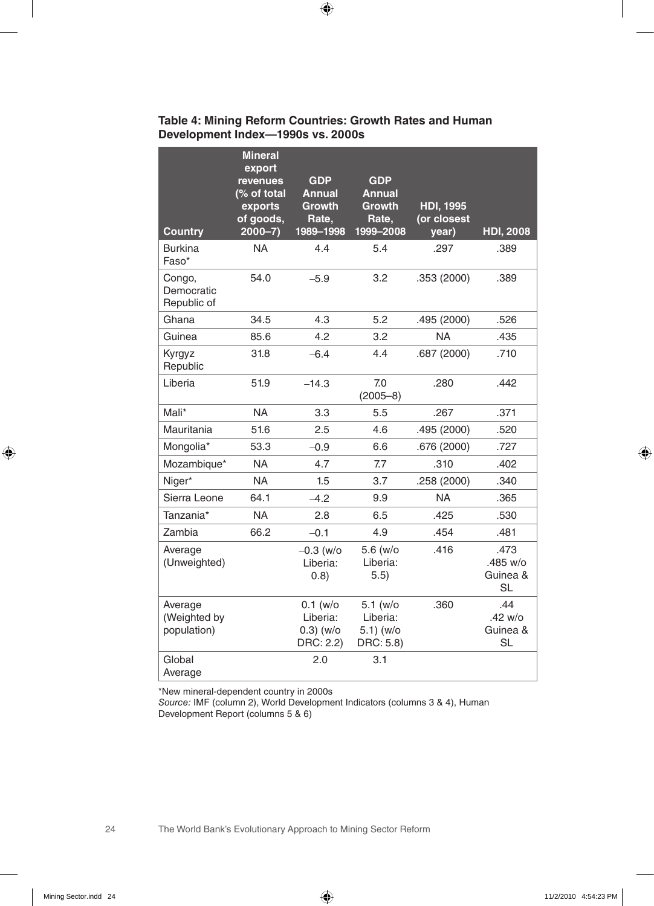| <b>Country</b>                         | <b>Mineral</b><br>export<br>revenues<br>(% of total<br>exports<br>of goods,<br>$2000 - 7$ ) | <b>GDP</b><br><b>Annual</b><br><b>Growth</b><br>Rate,<br>1989-1998 | <b>GDP</b><br><b>Annual</b><br><b>Growth</b><br>Rate,<br>1999-2008 | <b>HDI, 1995</b><br>(or closest<br>year) | <b>HDI, 2008</b>                          |
|----------------------------------------|---------------------------------------------------------------------------------------------|--------------------------------------------------------------------|--------------------------------------------------------------------|------------------------------------------|-------------------------------------------|
| <b>Burkina</b><br>Faso*                | <b>NA</b>                                                                                   | 4.4                                                                | 5.4                                                                | .297                                     | .389                                      |
| Congo,<br>Democratic<br>Republic of    | 54.0                                                                                        | $-5.9$                                                             | 3.2                                                                | .353 (2000)                              | .389                                      |
| Ghana                                  | 34.5                                                                                        | 4.3                                                                | 5.2                                                                | .495 (2000)                              | .526                                      |
| Guinea                                 | 85.6                                                                                        | 4.2                                                                | 3.2                                                                | <b>NA</b>                                | .435                                      |
| Kyrgyz<br>Republic                     | 31.8                                                                                        | $-6.4$                                                             | 4.4                                                                | .687 (2000)                              | .710                                      |
| Liberia                                | 51.9                                                                                        | $-14.3$                                                            | 7.0<br>$(2005 - 8)$                                                | .280                                     | .442                                      |
| Mali*                                  | <b>NA</b>                                                                                   | 3.3                                                                | 5.5                                                                | .267                                     | .371                                      |
| Mauritania                             | 51.6                                                                                        | 2.5                                                                | 4.6                                                                | .495 (2000)                              | .520                                      |
| Mongolia*                              | 53.3                                                                                        | $-0.9$                                                             | 6.6                                                                | .676 (2000)                              | .727                                      |
| Mozambique*                            | <b>NA</b>                                                                                   | 4.7                                                                | 7.7                                                                | .310                                     | .402                                      |
| Niger*                                 | <b>NA</b>                                                                                   | 1.5                                                                | 3.7                                                                | .258 (2000)                              | .340                                      |
| Sierra Leone                           | 64.1                                                                                        | $-4.2$                                                             | 9.9                                                                | <b>NA</b>                                | .365                                      |
| Tanzania*                              | <b>NA</b>                                                                                   | 2.8                                                                | 6.5                                                                | .425                                     | .530                                      |
| Zambia                                 | 66.2                                                                                        | $-0.1$                                                             | 4.9                                                                | .454                                     | .481                                      |
| Average<br>(Unweighted)                |                                                                                             | $-0.3$ (w/o<br>Liberia:<br>(0.8)                                   | 5.6 (w/o<br>Liberia:<br>5.5)                                       | .416                                     | .473<br>.485 w/o<br>Guinea &<br><b>SL</b> |
| Average<br>(Weighted by<br>population) |                                                                                             | $0.1$ (w/o<br>Liberia:<br>$0.3)$ (w/o<br>DRC: 2.2)                 | $5.1$ (w/o<br>Liberia:<br>5.1) (w/o<br>DRC: 5.8)                   | .360                                     | .44<br>.42 w/o<br>Guinea &<br><b>SL</b>   |
| Global<br>Average                      |                                                                                             | 2.0                                                                | 3.1                                                                |                                          |                                           |

#### **Table 4: Mining Reform Countries: Growth Rates and Human Development Index—1990s vs. 2000s**

\*New mineral-dependent country in 2000s

*Source:* IMF (column 2), World Development Indicators (columns 3 & 4), Human Development Report (columns 5 & 6)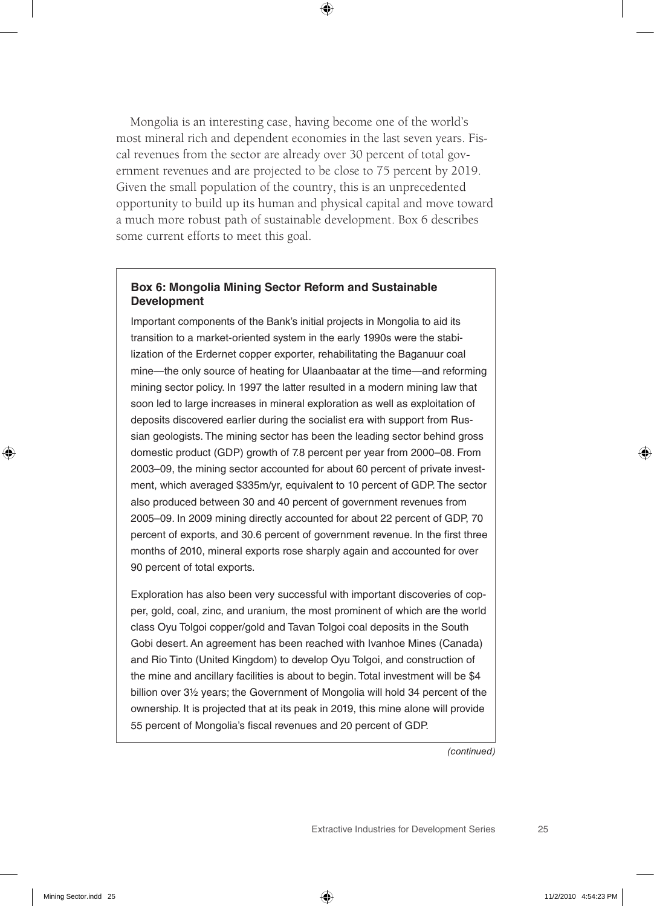Mongolia is an interesting case, having become one of the world's most mineral rich and dependent economies in the last seven years. Fiscal revenues from the sector are already over 30 percent of total government revenues and are projected to be close to 75 percent by 2019. Given the small population of the country, this is an unprecedented opportunity to build up its human and physical capital and move toward a much more robust path of sustainable development. Box 6 describes some current efforts to meet this goal.

#### **Box 6: Mongolia Mining Sector Reform and Sustainable Development**

Important components of the Bank's initial projects in Mongolia to aid its transition to a market-oriented system in the early 1990s were the stabilization of the Erdernet copper exporter, rehabilitating the Baganuur coal mine—the only source of heating for Ulaanbaatar at the time—and reforming mining sector policy. In 1997 the latter resulted in a modern mining law that soon led to large increases in mineral exploration as well as exploitation of deposits discovered earlier during the socialist era with support from Russian geologists. The mining sector has been the leading sector behind gross domestic product (GDP) growth of 7.8 percent per year from 2000–08. From 2003–09, the mining sector accounted for about 60 percent of private investment, which averaged \$335m/yr, equivalent to 10 percent of GDP. The sector also produced between 30 and 40 percent of government revenues from 2005–09. In 2009 mining directly accounted for about 22 percent of GDP, 70 percent of exports, and 30.6 percent of government revenue. In the first three months of 2010, mineral exports rose sharply again and accounted for over 90 percent of total exports.

Exploration has also been very successful with important discoveries of copper, gold, coal, zinc, and uranium, the most prominent of which are the world class Oyu Tolgoi copper/gold and Tavan Tolgoi coal deposits in the South Gobi desert. An agreement has been reached with Ivanhoe Mines (Canada) and Rio Tinto (United Kingdom) to develop Oyu Tolgoi, and construction of the mine and ancillary facilities is about to begin. Total investment will be \$4 billion over 3½ years; the Government of Mongolia will hold 34 percent of the ownership. It is projected that at its peak in 2019, this mine alone will provide 55 percent of Mongolia's fiscal revenues and 20 percent of GDP.

*(continued)*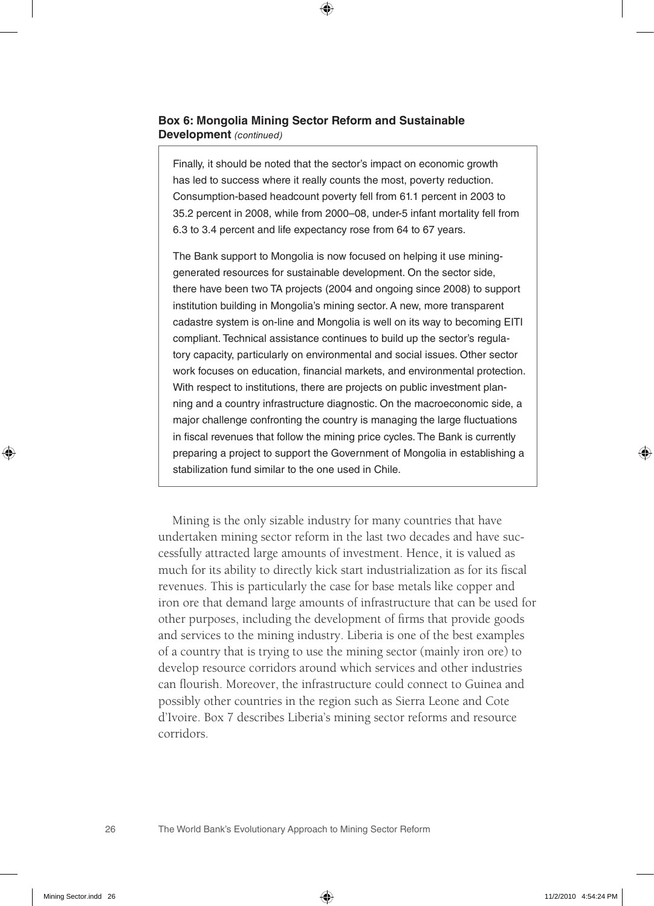#### **Box 6: Mongolia Mining Sector Reform and Sustainable Development** *(continued)*

Finally, it should be noted that the sector's impact on economic growth has led to success where it really counts the most, poverty reduction. Consumption-based headcount poverty fell from 61.1 percent in 2003 to 35.2 percent in 2008, while from 2000–08, under-5 infant mortality fell from 6.3 to 3.4 percent and life expectancy rose from 64 to 67 years.

The Bank support to Mongolia is now focused on helping it use mininggenerated resources for sustainable development. On the sector side, there have been two TA projects (2004 and ongoing since 2008) to support institution building in Mongolia's mining sector. A new, more transparent cadastre system is on-line and Mongolia is well on its way to becoming EITI compliant. Technical assistance continues to build up the sector's regulatory capacity, particularly on environmental and social issues. Other sector work focuses on education, financial markets, and environmental protection. With respect to institutions, there are projects on public investment planning and a country infrastructure diagnostic. On the macroeconomic side, a major challenge confronting the country is managing the large fluctuations in fiscal revenues that follow the mining price cycles. The Bank is currently preparing a project to support the Government of Mongolia in establishing a stabilization fund similar to the one used in Chile.

Mining is the only sizable industry for many countries that have undertaken mining sector reform in the last two decades and have successfully attracted large amounts of investment. Hence, it is valued as much for its ability to directly kick start industrialization as for its fiscal revenues. This is particularly the case for base metals like copper and iron ore that demand large amounts of infrastructure that can be used for other purposes, including the development of firms that provide goods and services to the mining industry. Liberia is one of the best examples of a country that is trying to use the mining sector (mainly iron ore) to develop resource corridors around which services and other industries can flourish. Moreover, the infrastructure could connect to Guinea and possibly other countries in the region such as Sierra Leone and Cote d'Ivoire. Box 7 describes Liberia's mining sector reforms and resource corridors.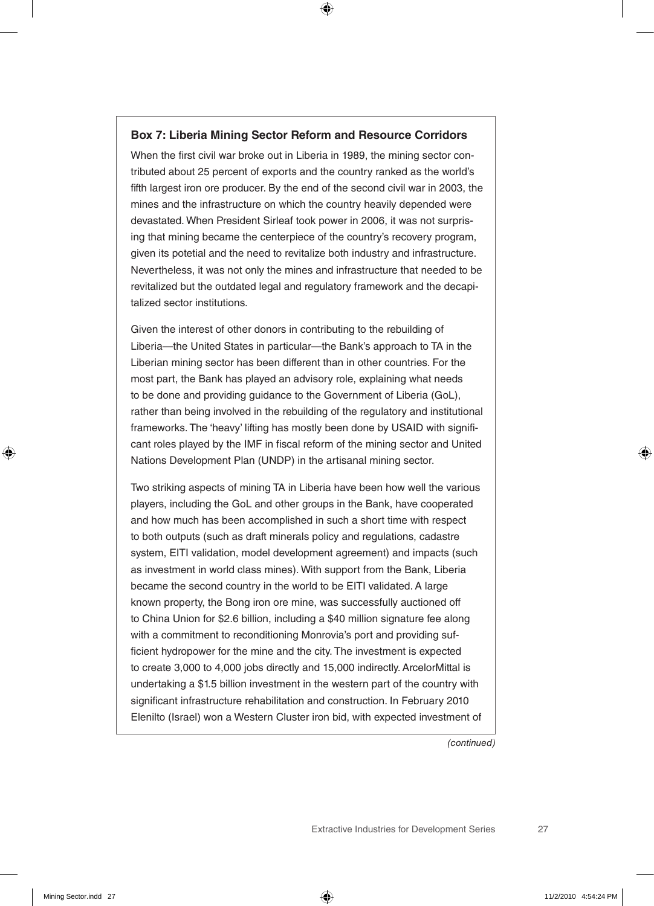#### **Box 7: Liberia Mining Sector Reform and Resource Corridors**

When the first civil war broke out in Liberia in 1989, the mining sector contributed about 25 percent of exports and the country ranked as the world's fifth largest iron ore producer. By the end of the second civil war in 2003, the mines and the infrastructure on which the country heavily depended were devastated. When President Sirleaf took power in 2006, it was not surprising that mining became the centerpiece of the country's recovery program, given its potetial and the need to revitalize both industry and infrastructure. Nevertheless, it was not only the mines and infrastructure that needed to be revitalized but the outdated legal and regulatory framework and the decapitalized sector institutions.

Given the interest of other donors in contributing to the rebuilding of Liberia—the United States in particular—the Bank's approach to TA in the Liberian mining sector has been different than in other countries. For the most part, the Bank has played an advisory role, explaining what needs to be done and providing guidance to the Government of Liberia (GoL), rather than being involved in the rebuilding of the regulatory and institutional frameworks. The 'heavy' lifting has mostly been done by USAID with significant roles played by the IMF in fiscal reform of the mining sector and United Nations Development Plan (UNDP) in the artisanal mining sector.

Two striking aspects of mining TA in Liberia have been how well the various players, including the GoL and other groups in the Bank, have cooperated and how much has been accomplished in such a short time with respect to both outputs (such as draft minerals policy and regulations, cadastre system, EITI validation, model development agreement) and impacts (such as investment in world class mines). With support from the Bank, Liberia became the second country in the world to be EITI validated. A large known property, the Bong iron ore mine, was successfully auctioned off to China Union for \$2.6 billion, including a \$40 million signature fee along with a commitment to reconditioning Monrovia's port and providing sufficient hydropower for the mine and the city. The investment is expected to create 3,000 to 4,000 jobs directly and 15,000 indirectly. ArcelorMittal is undertaking a \$1.5 billion investment in the western part of the country with significant infrastructure rehabilitation and construction. In February 2010 Elenilto (Israel) won a Western Cluster iron bid, with expected investment of

*(continued)*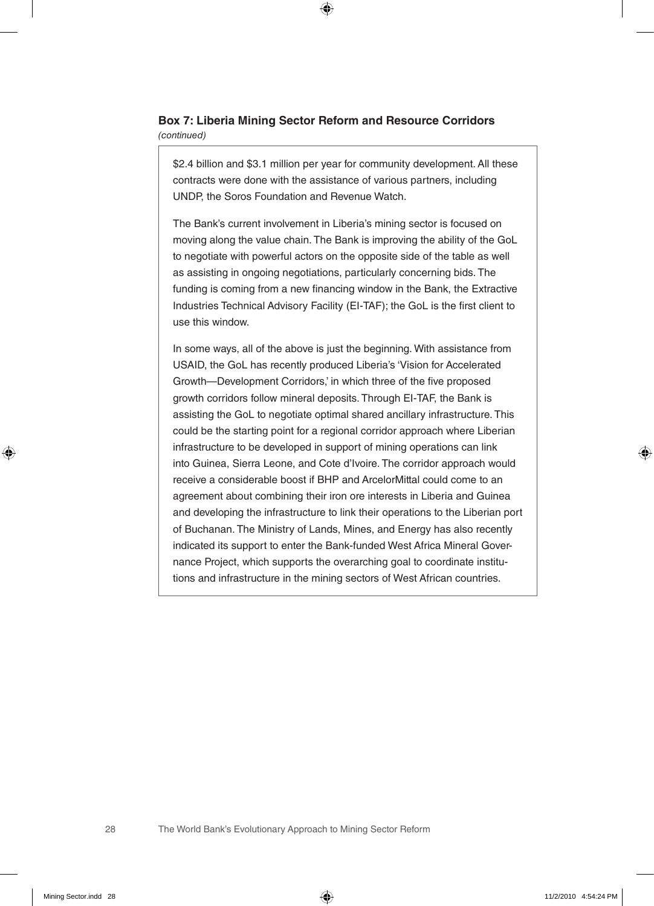#### **Box 7: Liberia Mining Sector Reform and Resource Corridors**  *(continued)*

\$2.4 billion and \$3.1 million per year for community development. All these contracts were done with the assistance of various partners, including UNDP, the Soros Foundation and Revenue Watch.

The Bank's current involvement in Liberia's mining sector is focused on moving along the value chain. The Bank is improving the ability of the GoL to negotiate with powerful actors on the opposite side of the table as well as assisting in ongoing negotiations, particularly concerning bids. The funding is coming from a new financing window in the Bank, the Extractive Industries Technical Advisory Facility (EI-TAF); the GoL is the first client to use this window.

In some ways, all of the above is just the beginning. With assistance from USAID, the GoL has recently produced Liberia's 'Vision for Accelerated Growth—Development Corridors,' in which three of the five proposed growth corridors follow mineral deposits. Through EI-TAF, the Bank is assisting the GoL to negotiate optimal shared ancillary infrastructure. This could be the starting point for a regional corridor approach where Liberian infrastructure to be developed in support of mining operations can link into Guinea, Sierra Leone, and Cote d'Ivoire. The corridor approach would receive a considerable boost if BHP and ArcelorMittal could come to an agreement about combining their iron ore interests in Liberia and Guinea and developing the infrastructure to link their operations to the Liberian port of Buchanan. The Ministry of Lands, Mines, and Energy has also recently indicated its support to enter the Bank-funded West Africa Mineral Governance Project, which supports the overarching goal to coordinate institutions and infrastructure in the mining sectors of West African countries.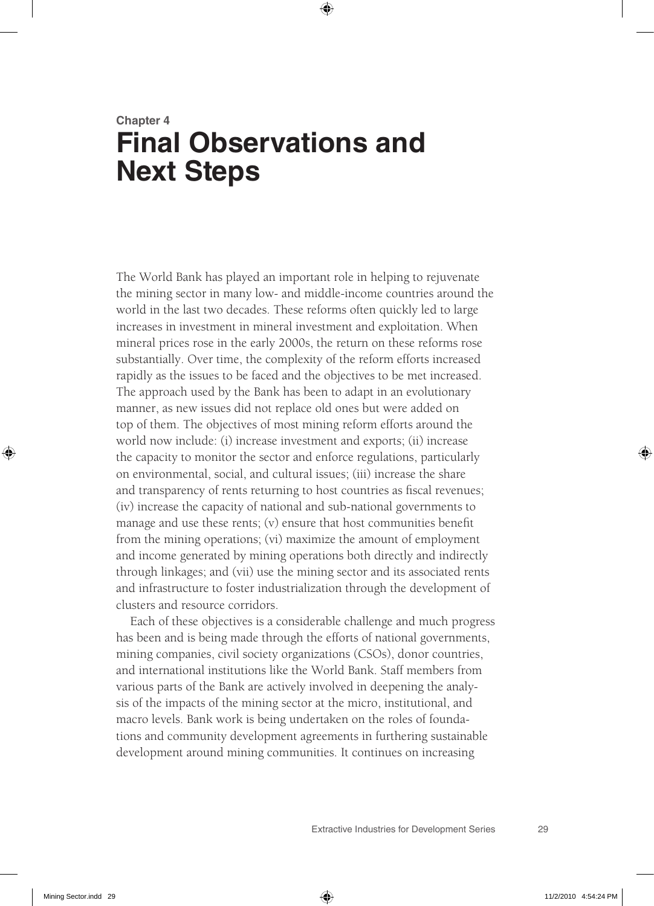## **Chapter 4 Final Observations and Next Steps**

The World Bank has played an important role in helping to rejuvenate the mining sector in many low- and middle-income countries around the world in the last two decades. These reforms often quickly led to large increases in investment in mineral investment and exploitation. When mineral prices rose in the early 2000s, the return on these reforms rose substantially. Over time, the complexity of the reform efforts increased rapidly as the issues to be faced and the objectives to be met increased. The approach used by the Bank has been to adapt in an evolutionary manner, as new issues did not replace old ones but were added on top of them. The objectives of most mining reform efforts around the world now include: (i) increase investment and exports; (ii) increase the capacity to monitor the sector and enforce regulations, particularly on environmental, social, and cultural issues; (iii) increase the share and transparency of rents returning to host countries as fiscal revenues; (iv) increase the capacity of national and sub-national governments to manage and use these rents; (v) ensure that host communities benefit from the mining operations; (vi) maximize the amount of employment and income generated by mining operations both directly and indirectly through linkages; and (vii) use the mining sector and its associated rents and infrastructure to foster industrialization through the development of clusters and resource corridors.

Each of these objectives is a considerable challenge and much progress has been and is being made through the efforts of national governments, mining companies, civil society organizations (CSOs), donor countries, and international institutions like the World Bank. Staff members from various parts of the Bank are actively involved in deepening the analysis of the impacts of the mining sector at the micro, institutional, and macro levels. Bank work is being undertaken on the roles of foundations and community development agreements in furthering sustainable development around mining communities. It continues on increasing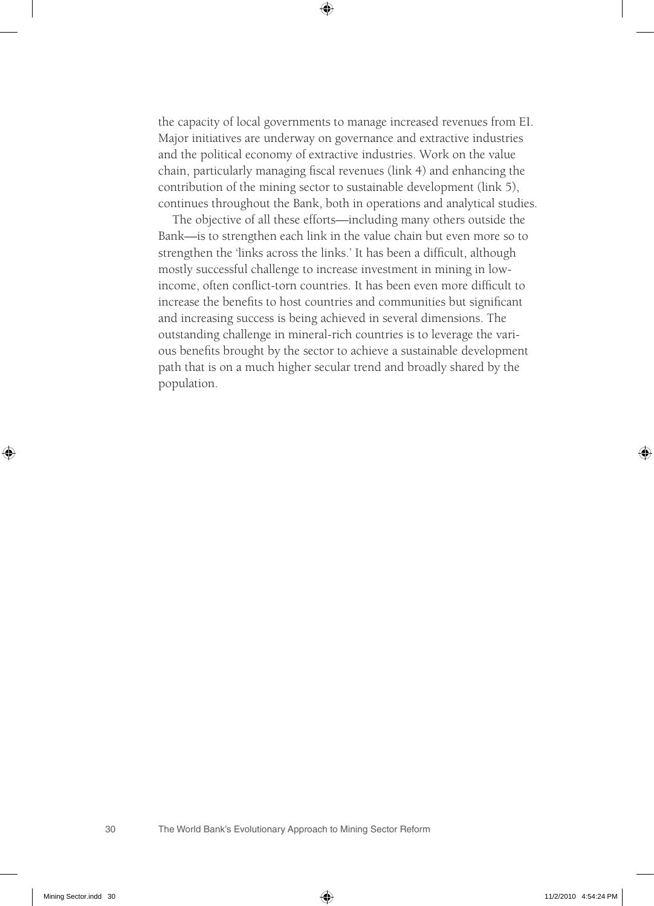the capacity of local governments to manage increased revenues from EI. Major initiatives are underway on governance and extractive industries and the political economy of extractive industries. Work on the value chain, particularly managing fiscal revenues (link 4) and enhancing the contribution of the mining sector to sustainable development (link 5), continues throughout the Bank, both in operations and analytical studies.

The objective of all these efforts—including many others outside the Bank—is to strengthen each link in the value chain but even more so to strengthen the 'links across the links.' It has been a difficult, although mostly successful challenge to increase investment in mining in lowincome, often conflict-torn countries. It has been even more difficult to increase the benefits to host countries and communities but significant and increasing success is being achieved in several dimensions. The outstanding challenge in mineral-rich countries is to leverage the various benefits brought by the sector to achieve a sustainable development path that is on a much higher secular trend and broadly shared by the population.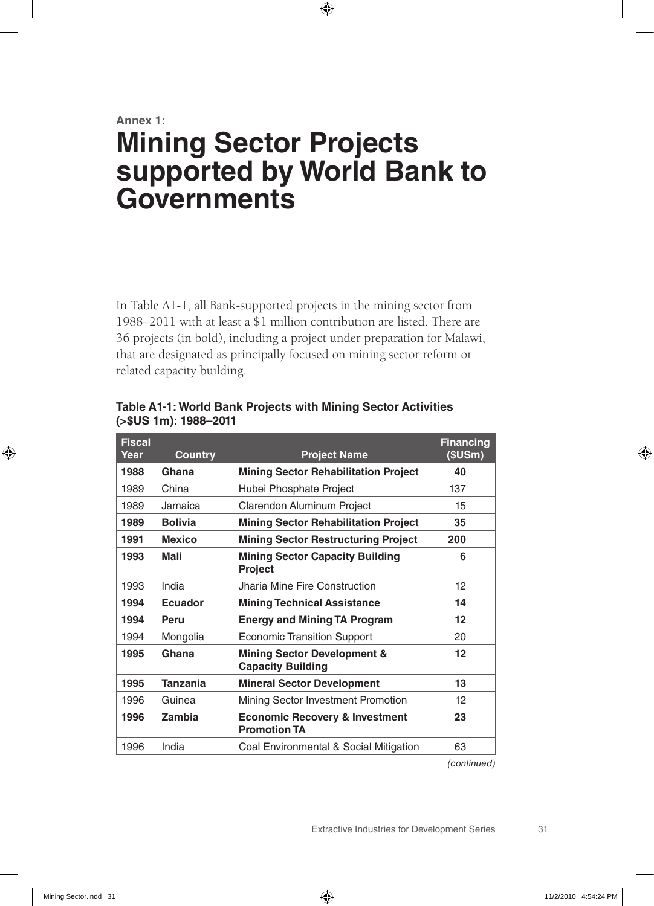#### **Annex 1:**

## **Mining Sector Projects supported by World Bank to Governments**

In Table A1-1, all Bank-supported projects in the mining sector from 1988–2011 with at least a \$1 million contribution are listed. There are 36 projects (in bold), including a project under preparation for Malawi, that are designated as principally focused on mining sector reform or related capacity building.

| <b>Fiscal</b><br>Year | <b>Country</b>  | <b>Project Name</b>                                                | <b>Financing</b><br>(SUSm) |
|-----------------------|-----------------|--------------------------------------------------------------------|----------------------------|
| 1988                  | Ghana           | <b>Mining Sector Rehabilitation Project</b>                        | 40                         |
| 1989                  | China           | Hubei Phosphate Project                                            | 137                        |
| 1989                  | Jamaica         | Clarendon Aluminum Project                                         | 15                         |
| 1989                  | <b>Bolivia</b>  | <b>Mining Sector Rehabilitation Project</b>                        | 35                         |
| 1991                  | <b>Mexico</b>   | <b>Mining Sector Restructuring Project</b>                         | 200                        |
| 1993                  | Mali            | <b>Mining Sector Capacity Building</b><br><b>Project</b>           | 6                          |
| 1993                  | India           | Jharia Mine Fire Construction                                      | 12                         |
| 1994                  | Ecuador         | <b>Mining Technical Assistance</b>                                 | 14                         |
| 1994                  | Peru            | <b>Energy and Mining TA Program</b>                                | $12 \overline{ }$          |
| 1994                  | Mongolia        | <b>Economic Transition Support</b>                                 | 20                         |
| 1995                  | Ghana           | <b>Mining Sector Development &amp;</b><br><b>Capacity Building</b> | 12                         |
| 1995                  | <b>Tanzania</b> | <b>Mineral Sector Development</b>                                  | 13                         |
| 1996                  | Guinea          | Mining Sector Investment Promotion                                 | 12                         |
| 1996                  | Zambia          | <b>Economic Recovery &amp; Investment</b><br><b>Promotion TA</b>   | 23                         |
| 1996                  | India           | Coal Environmental & Social Mitigation                             | 63                         |

**Table A1-1: World Bank Projects with Mining Sector Activities (>\$US 1m): 1988–2011**

*(continued)*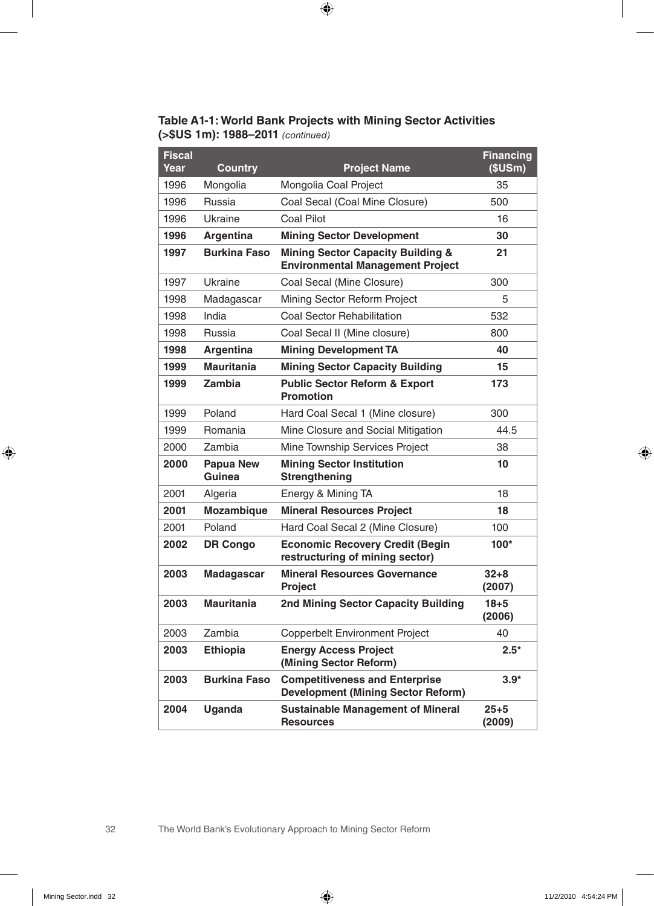#### **Table A1-1: World Bank Projects with Mining Sector Activities (>\$US 1m): 1988–2011** *(continued)*

| <b>Fiscal</b><br>Year | <b>Country</b>             | <b>Project Name</b>                                                                     | <b>Financing</b><br>(\$USm) |
|-----------------------|----------------------------|-----------------------------------------------------------------------------------------|-----------------------------|
| 1996                  | Mongolia                   | Mongolia Coal Project                                                                   | 35                          |
| 1996                  | Russia                     | Coal Secal (Coal Mine Closure)                                                          | 500                         |
| 1996                  | Ukraine                    | <b>Coal Pilot</b>                                                                       | 16                          |
| 1996                  | Argentina                  | <b>Mining Sector Development</b>                                                        | 30                          |
| 1997                  | <b>Burkina Faso</b>        | <b>Mining Sector Capacity Building &amp;</b><br><b>Environmental Management Project</b> | 21                          |
| 1997                  | Ukraine                    | Coal Secal (Mine Closure)                                                               | 300                         |
| 1998                  | Madagascar                 | Mining Sector Reform Project                                                            | 5                           |
| 1998                  | India                      | <b>Coal Sector Rehabilitation</b>                                                       | 532                         |
| 1998                  | Russia                     | Coal Secal II (Mine closure)                                                            | 800                         |
| 1998                  | <b>Argentina</b>           | <b>Mining Development TA</b>                                                            | 40                          |
| 1999                  | Mauritania                 | <b>Mining Sector Capacity Building</b>                                                  | 15                          |
| 1999                  | Zambia                     | <b>Public Sector Reform &amp; Export</b><br><b>Promotion</b>                            | 173                         |
| 1999                  | Poland                     | Hard Coal Secal 1 (Mine closure)                                                        | 300                         |
| 1999                  | Romania                    | Mine Closure and Social Mitigation                                                      | 44.5                        |
| 2000                  | Zambia                     | Mine Township Services Project                                                          | 38                          |
| 2000                  | <b>Papua New</b><br>Guinea | <b>Mining Sector Institution</b><br><b>Strengthening</b>                                | 10                          |
| 2001                  | Algeria                    | Energy & Mining TA                                                                      | 18                          |
| 2001                  | <b>Mozambique</b>          | <b>Mineral Resources Project</b>                                                        | 18                          |
| 2001                  | Poland                     | Hard Coal Secal 2 (Mine Closure)                                                        | 100                         |
| 2002                  | <b>DR Congo</b>            | <b>Economic Recovery Credit (Begin</b><br>restructuring of mining sector)               | $100*$                      |
| 2003                  | Madagascar                 | <b>Mineral Resources Governance</b><br>Project                                          | $32 + 8$<br>(2007)          |
| 2003                  | <b>Mauritania</b>          | 2nd Mining Sector Capacity Building                                                     | $18 + 5$<br>(2006)          |
| 2003                  | Zambia                     | Copperbelt Environment Project                                                          | 40                          |
| 2003                  | <b>Ethiopia</b>            | <b>Energy Access Project</b><br>(Mining Sector Reform)                                  | $2.5*$                      |
| 2003                  | <b>Burkina Faso</b>        | <b>Competitiveness and Enterprise</b><br><b>Development (Mining Sector Reform)</b>      | $3.9*$                      |
| 2004                  | <b>Uganda</b>              | <b>Sustainable Management of Mineral</b><br><b>Resources</b>                            | $25 + 5$<br>(2009)          |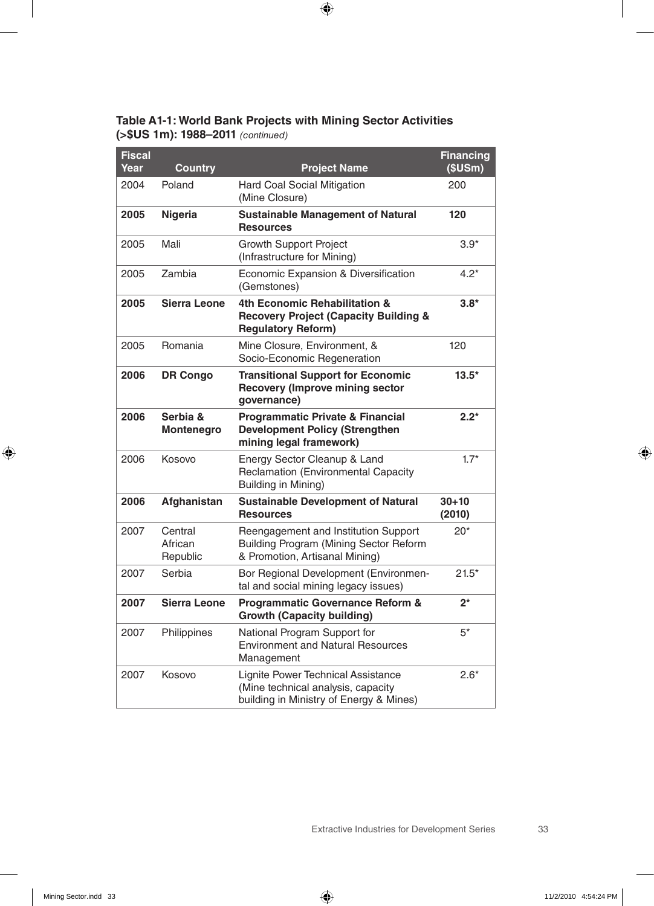**Table A1-1: World Bank Projects with Mining Sector Activities (>\$US 1m): 1988–2011** *(continued)*

| <b>Fiscal</b><br>Year | <b>Country</b>                 | <b>Project Name</b>                                                                                                 | <b>Financing</b><br>(SUSm) |
|-----------------------|--------------------------------|---------------------------------------------------------------------------------------------------------------------|----------------------------|
| 2004                  | Poland                         | Hard Coal Social Mitigation<br>(Mine Closure)                                                                       | 200                        |
| 2005                  | <b>Nigeria</b>                 | <b>Sustainable Management of Natural</b><br><b>Resources</b>                                                        | 120                        |
| 2005                  | Mali                           | <b>Growth Support Project</b><br>(Infrastructure for Mining)                                                        | $3.9*$                     |
| 2005                  | Zambia                         | Economic Expansion & Diversification<br>(Gemstones)                                                                 | $4.2*$                     |
| 2005                  | <b>Sierra Leone</b>            | 4th Economic Rehabilitation &<br><b>Recovery Project (Capacity Building &amp;</b><br><b>Regulatory Reform)</b>      | $3.8*$                     |
| 2005                  | Romania                        | Mine Closure, Environment, &<br>Socio-Economic Regeneration                                                         | 120                        |
| 2006                  | <b>DR Congo</b>                | <b>Transitional Support for Economic</b><br><b>Recovery (Improve mining sector</b><br>governance)                   | $13.5*$                    |
| 2006                  | Serbia &<br><b>Montenegro</b>  | <b>Programmatic Private &amp; Financial</b><br><b>Development Policy (Strengthen</b><br>mining legal framework)     | $2.2*$                     |
| 2006                  | Kosovo                         | Energy Sector Cleanup & Land<br>Reclamation (Environmental Capacity<br>Building in Mining)                          | $1.7*$                     |
| 2006                  | Afghanistan                    | <b>Sustainable Development of Natural</b><br><b>Resources</b>                                                       | $30 + 10$<br>(2010)        |
| 2007                  | Central<br>African<br>Republic | Reengagement and Institution Support<br>Building Program (Mining Sector Reform<br>& Promotion, Artisanal Mining)    | $20*$                      |
| 2007                  | Serbia                         | Bor Regional Development (Environmen-<br>tal and social mining legacy issues)                                       | $21.5*$                    |
| 2007                  | Sierra Leone                   | <b>Programmatic Governance Reform &amp;</b><br><b>Growth (Capacity building)</b>                                    | $2^*$                      |
| 2007                  | Philippines                    | National Program Support for<br><b>Environment and Natural Resources</b><br>Management                              | $5*$                       |
| 2007                  | Kosovo                         | Lignite Power Technical Assistance<br>(Mine technical analysis, capacity<br>building in Ministry of Energy & Mines) | $2.6*$                     |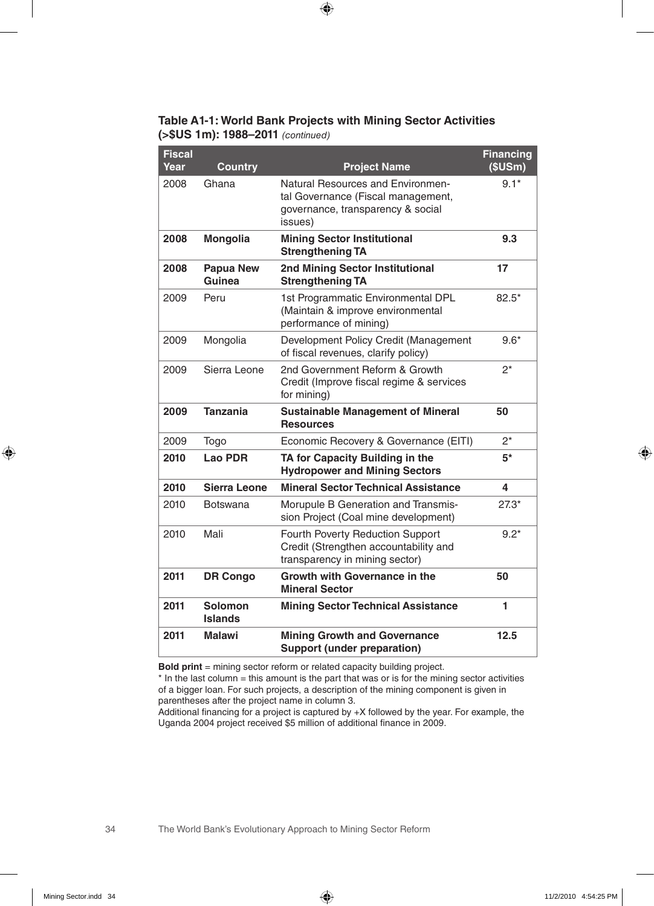#### **Table A1-1: World Bank Projects with Mining Sector Activities (>\$US 1m): 1988–2011** *(continued)*

| <b>Fiscal</b><br>Year | <b>Country</b>             | <b>Project Name</b>                                                                                                     | <b>Financing</b><br>(\$USm) |
|-----------------------|----------------------------|-------------------------------------------------------------------------------------------------------------------------|-----------------------------|
| 2008                  | Ghana                      | Natural Resources and Environmen-<br>tal Governance (Fiscal management,<br>governance, transparency & social<br>issues) | $9.1*$                      |
| 2008                  | Mongolia                   | <b>Mining Sector Institutional</b><br><b>Strengthening TA</b>                                                           | 9.3                         |
| 2008                  | <b>Papua New</b><br>Guinea | <b>2nd Mining Sector Institutional</b><br><b>Strengthening TA</b>                                                       | 17                          |
| 2009                  | Peru                       | 1st Programmatic Environmental DPL<br>(Maintain & improve environmental<br>performance of mining)                       | $82.5*$                     |
| 2009                  | Mongolia                   | Development Policy Credit (Management<br>of fiscal revenues, clarify policy)                                            | $9.6*$                      |
| 2009                  | Sierra Leone               | 2nd Government Reform & Growth<br>Credit (Improve fiscal regime & services<br>for mining)                               | 2*                          |
| 2009                  | <b>Tanzania</b>            | <b>Sustainable Management of Mineral</b><br><b>Resources</b>                                                            | 50                          |
| 2009                  | Togo                       | Economic Recovery & Governance (EITI)                                                                                   | $2^*$                       |
| 2010                  | Lao PDR                    | TA for Capacity Building in the<br><b>Hydropower and Mining Sectors</b>                                                 | $5*$                        |
| 2010                  | <b>Sierra Leone</b>        | <b>Mineral Sector Technical Assistance</b>                                                                              | 4                           |
| 2010                  | Botswana                   | Morupule B Generation and Transmis-<br>sion Project (Coal mine development)                                             | $27.3*$                     |
| 2010                  | Mali                       | Fourth Poverty Reduction Support<br>Credit (Strengthen accountability and<br>transparency in mining sector)             | $9.2*$                      |
| 2011                  | <b>DR Congo</b>            | <b>Growth with Governance in the</b><br><b>Mineral Sector</b>                                                           | 50                          |
| 2011                  | Solomon<br><b>Islands</b>  | <b>Mining Sector Technical Assistance</b>                                                                               | 1                           |
| 2011                  | <b>Malawi</b>              | <b>Mining Growth and Governance</b><br><b>Support (under preparation)</b>                                               | 12.5                        |

**Bold print** = mining sector reform or related capacity building project.

 $*$  In the last column = this amount is the part that was or is for the mining sector activities of a bigger loan. For such projects, a description of the mining component is given in parentheses after the project name in column 3.

Additional financing for a project is captured by +X followed by the year. For example, the Uganda 2004 project received \$5 million of additional finance in 2009.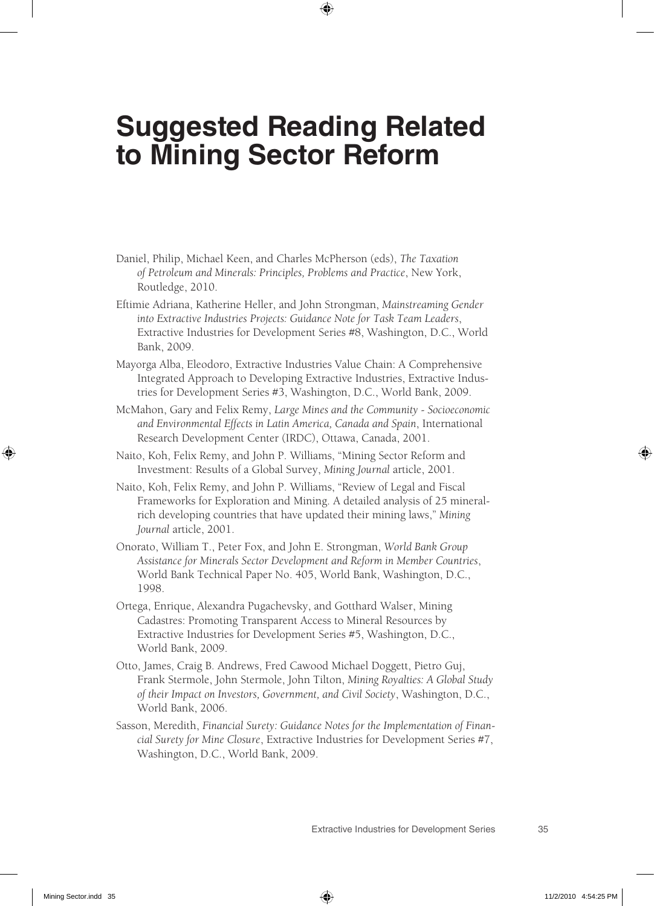## **Suggested Reading Related to Mining Sector Reform**

- Daniel, Philip, Michael Keen, and Charles McPherson (eds), *The Taxation of Petroleum and Minerals: Principles, Problems and Practice*, New York, Routledge, 2010.
- Eftimie Adriana, Katherine Heller, and John Strongman, *Mainstreaming Gender into Extractive Industries Projects: Guidance Note for Task Team Leaders*, Extractive Industries for Development Series #8, Washington, D.C., World Bank, 2009.
- Mayorga Alba, Eleodoro, Extractive Industries Value Chain: A Comprehensive Integrated Approach to Developing Extractive Industries, Extractive Industries for Development Series #3, Washington, D.C., World Bank, 2009.
- McMahon, Gary and Felix Remy, *Large Mines and the Community Socioeconomic and Environmental Effects in Latin America, Canada and Spain*, International Research Development Center (IRDC), Ottawa, Canada, 2001.
- Naito, Koh, Felix Remy, and John P. Williams, "Mining Sector Reform and Investment: Results of a Global Survey, *Mining Journal* article, 2001.
- Naito, Koh, Felix Remy, and John P. Williams, "Review of Legal and Fiscal Frameworks for Exploration and Mining. A detailed analysis of 25 mineralrich developing countries that have updated their mining laws," *Mining Journal* article, 2001.
- Onorato, William T., Peter Fox, and John E. Strongman, *World Bank Group Assistance for Minerals Sector Development and Reform in Member Countries*, World Bank Technical Paper No. 405, World Bank, Washington, D.C., 1998.
- Ortega, Enrique, Alexandra Pugachevsky, and Gotthard Walser, Mining Cadastres: Promoting Transparent Access to Mineral Resources by Extractive Industries for Development Series #5, Washington, D.C., World Bank, 2009.
- Otto, James, Craig B. Andrews, Fred Cawood Michael Doggett, Pietro Guj, Frank Stermole, John Stermole, John Tilton, *Mining Royalties: A Global Study of their Impact on Investors, Government, and Civil Society*, Washington, D.C., World Bank, 2006.
- Sasson, Meredith, *Financial Surety: Guidance Notes for the Implementation of Financial Surety for Mine Closure*, Extractive Industries for Development Series #7, Washington, D.C., World Bank, 2009.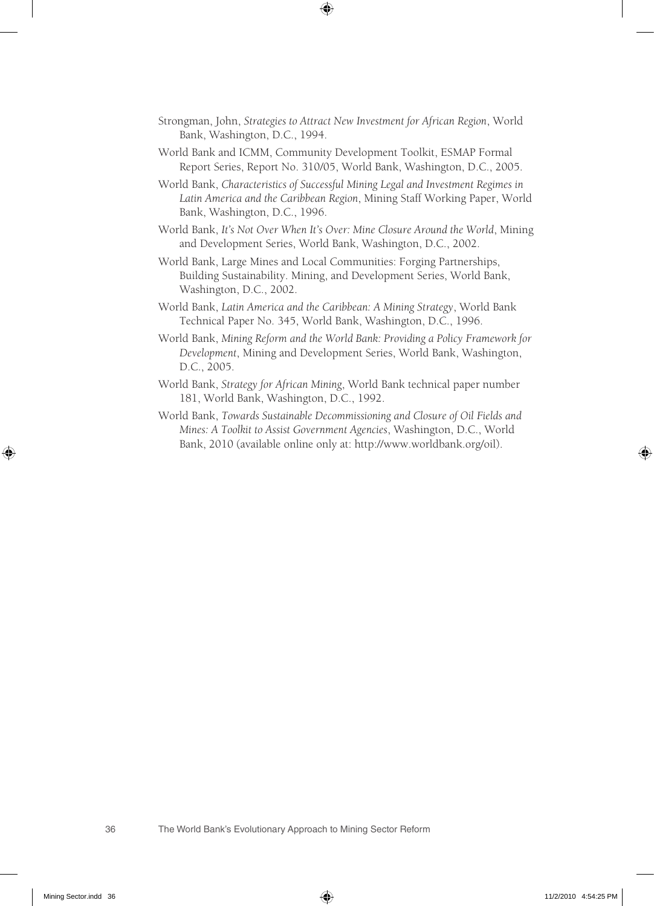- Strongman, John, *Strategies to Attract New Investment for African Region*, World Bank, Washington, D.C., 1994.
- World Bank and ICMM, Community Development Toolkit, ESMAP Formal Report Series, Report No. 310/05, World Bank, Washington, D.C., 2005.
- World Bank, *Characteristics of Successful Mining Legal and Investment Regimes in Latin America and the Caribbean Region*, Mining Staff Working Paper, World Bank, Washington, D.C., 1996.
- World Bank, *It's Not Over When It's Over: Mine Closure Around the World*, Mining and Development Series, World Bank, Washington, D.C., 2002.
- World Bank, Large Mines and Local Communities: Forging Partnerships, Building Sustainability. Mining, and Development Series, World Bank, Washington, D.C., 2002.
- World Bank, *Latin America and the Caribbean: A Mining Strategy*, World Bank Technical Paper No. 345, World Bank, Washington, D.C., 1996.
- World Bank, *Mining Reform and the World Bank: Providing a Policy Framework for Development*, Mining and Development Series, World Bank, Washington, D.C., 2005.
- World Bank, *Strategy for African Mining*, World Bank technical paper number 181, World Bank, Washington, D.C., 1992.
- World Bank, *Towards Sustainable Decommissioning and Closure of Oil Fields and Mines: A Toolkit to Assist Government Agencies*, Washington, D.C., World Bank, 2010 (available online only at: http://www.worldbank.org/oil).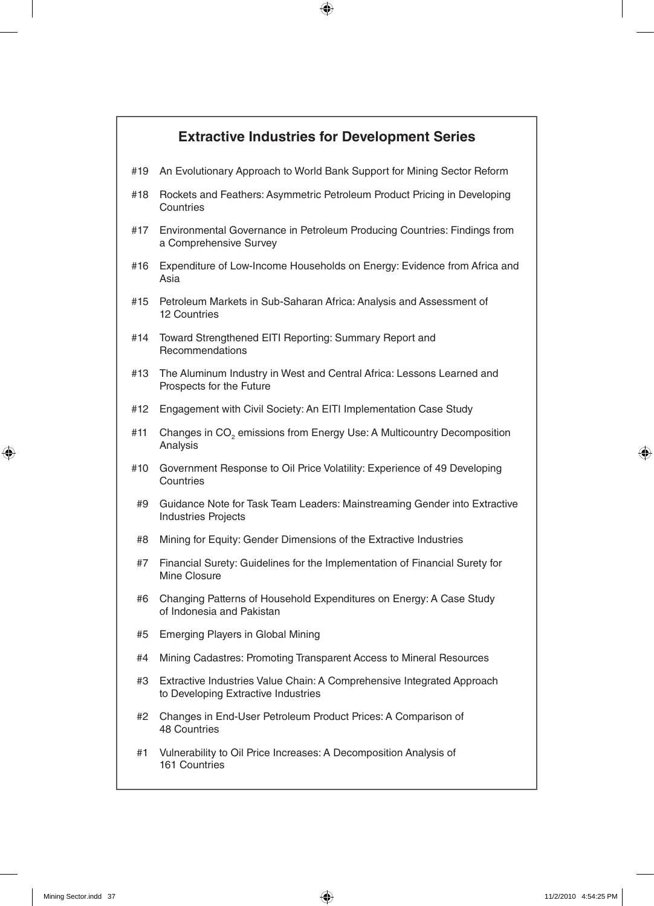#### **Extractive Industries for Development Series**

- #19 An Evolutionary Approach to World Bank Support for Mining Sector Reform
- #18 Rockets and Feathers: Asymmetric Petroleum Product Pricing in Developing **Countries**
- #17 Environmental Governance in Petroleum Producing Countries: Findings from a Comprehensive Survey
- #16 Expenditure of Low-Income Households on Energy: Evidence from Africa and Asia
- #15 Petroleum Markets in Sub-Saharan Africa: Analysis and Assessment of 12 Countries
- #14 Toward Strengthened EITI Reporting: Summary Report and **Recommendations**
- #13 The Aluminum Industry in West and Central Africa: Lessons Learned and Prospects for the Future
- #12 Engagement with Civil Society: An EITI Implementation Case Study
- #11 Changes in CO<sub>2</sub> emissions from Energy Use: A Multicountry Decomposition Analysis
- #10 Government Response to Oil Price Volatility: Experience of 49 Developing **Countries**
- #9 Guidance Note for Task Team Leaders: Mainstreaming Gender into Extractive Industries Projects
- #8 Mining for Equity: Gender Dimensions of the Extractive Industries
- #7 Financial Surety: Guidelines for the Implementation of Financial Surety for Mine Closure
- #6 Changing Patterns of Household Expenditures on Energy: A Case Study of Indonesia and Pakistan
- #5 Emerging Players in Global Mining
- #4 Mining Cadastres: Promoting Transparent Access to Mineral Resources
- #3 Extractive Industries Value Chain: A Comprehensive Integrated Approach to Developing Extractive Industries
- #2 Changes in End-User Petroleum Product Prices: A Comparison of 48 Countries
- #1 Vulnerability to Oil Price Increases: A Decomposition Analysis of 161 Countries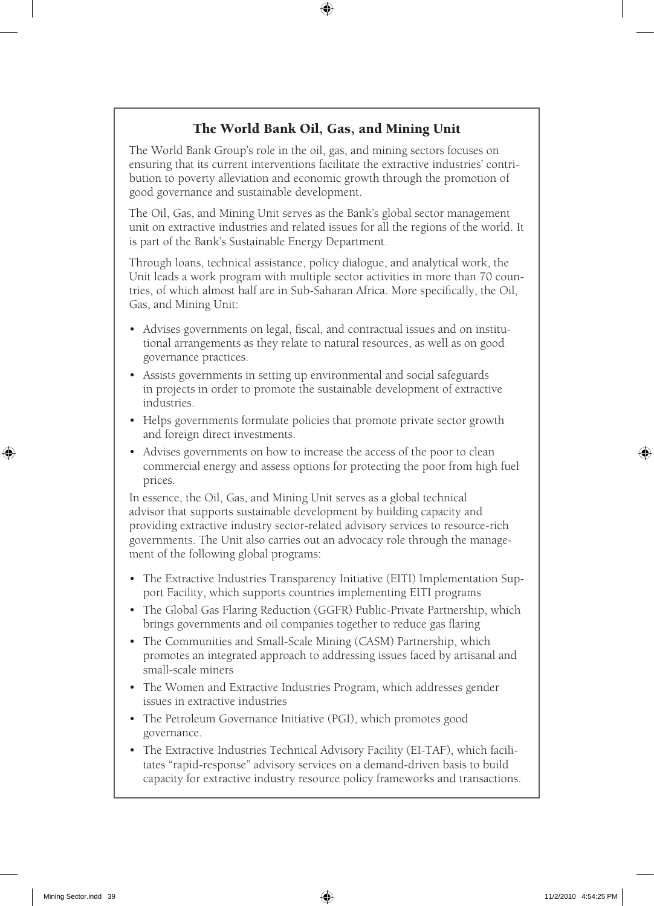#### The World Bank Oil, Gas, and Mining Unit

The World Bank Group's role in the oil, gas, and mining sectors focuses on ensuring that its current interventions facilitate the extractive industries' contribution to poverty alleviation and economic growth through the promotion of good governance and sustainable development.

The Oil, Gas, and Mining Unit serves as the Bank's global sector management unit on extractive industries and related issues for all the regions of the world. It is part of the Bank's Sustainable Energy Department.

Through loans, technical assistance, policy dialogue, and analytical work, the Unit leads a work program with multiple sector activities in more than 70 countries, of which almost half are in Sub-Saharan Africa. More specifically, the Oil, Gas, and Mining Unit:

- • Advises governments on legal, fiscal, and contractual issues and on institutional arrangements as they relate to natural resources, as well as on good governance practices.
- • Assists governments in setting up environmental and social safeguards in projects in order to promote the sustainable development of extractive industries.
- Helps governments formulate policies that promote private sector growth and foreign direct investments.
- Advises governments on how to increase the access of the poor to clean commercial energy and assess options for protecting the poor from high fuel prices.

In essence, the Oil, Gas, and Mining Unit serves as a global technical advisor that supports sustainable development by building capacity and providing extractive industry sector-related advisory services to resource-rich governments. The Unit also carries out an advocacy role through the management of the following global programs:

- The Extractive Industries Transparency Initiative (EITI) Implementation Support Facility, which supports countries implementing EITI programs
- The Global Gas Flaring Reduction (GGFR) Public-Private Partnership, which brings governments and oil companies together to reduce gas flaring
- The Communities and Small-Scale Mining (CASM) Partnership, which promotes an integrated approach to addressing issues faced by artisanal and small-scale miners
- The Women and Extractive Industries Program, which addresses gender issues in extractive industries
- The Petroleum Governance Initiative (PGI), which promotes good governance.
- The Extractive Industries Technical Advisory Facility (EI-TAF), which facilitates "rapid-response" advisory services on a demand-driven basis to build capacity for extractive industry resource policy frameworks and transactions.